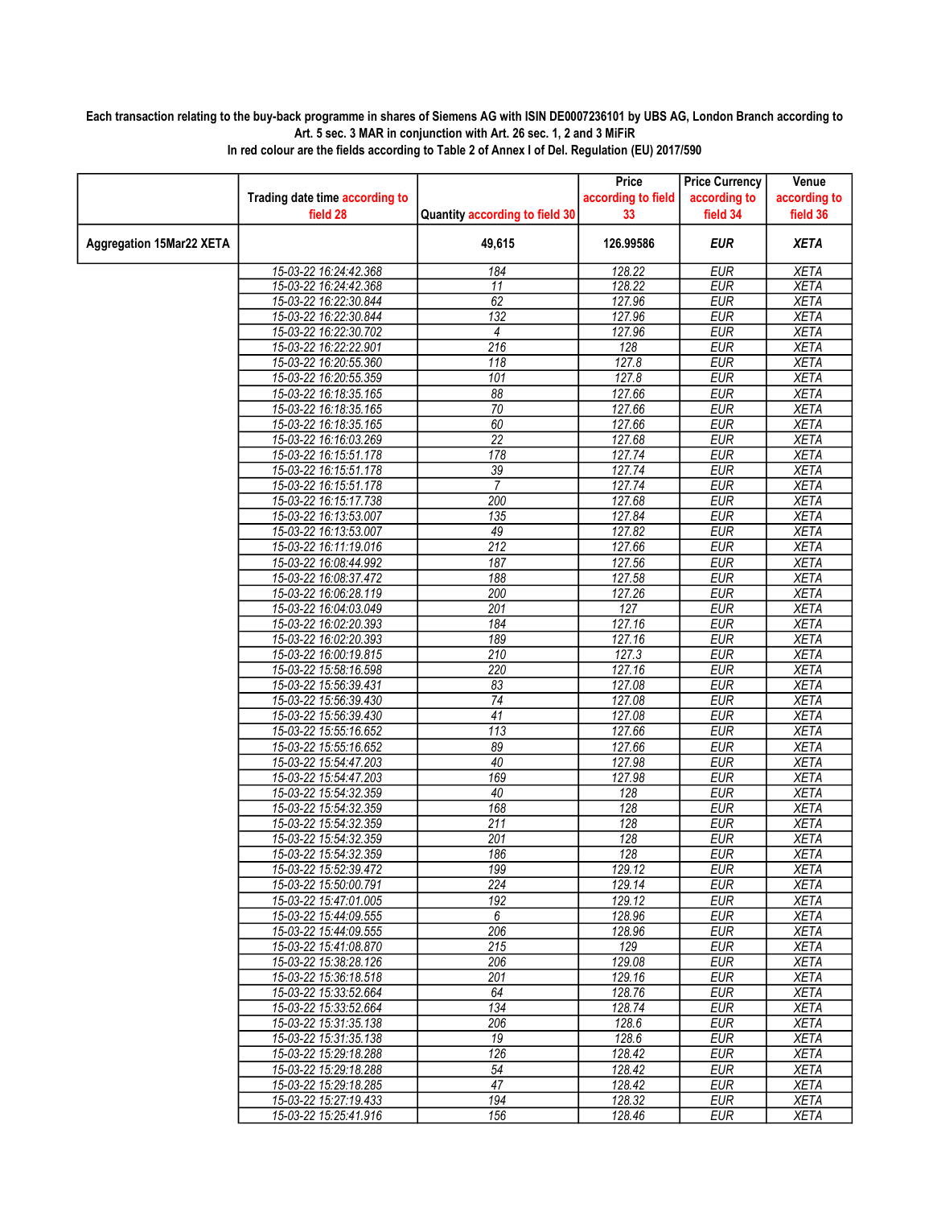## Each transaction relating to the buy-back programme in shares of Siemens AG with ISIN DE0007236101 by UBS AG, London Branch according to Art. 5 sec. 3 MAR in conjunction with Art. 26 sec. 1, 2 and 3 MiFiR

|                                 |                                                |                                | Price              | <b>Price Currency</b>    | Venue                      |
|---------------------------------|------------------------------------------------|--------------------------------|--------------------|--------------------------|----------------------------|
|                                 | Trading date time according to                 |                                | according to field | according to             | according to               |
|                                 | field 28                                       | Quantity according to field 30 | 33                 | field 34                 | field 36                   |
| <b>Aggregation 15Mar22 XETA</b> |                                                | 49,615                         | 126.99586          | <b>EUR</b>               | <b>XETA</b>                |
|                                 | 15-03-22 16:24:42.368                          | 184                            | 128.22             | <b>EUR</b>               | <b>XETA</b>                |
|                                 | 15-03-22 16:24:42.368                          | 11                             | 128.22             | <b>EUR</b>               | <b>XETA</b>                |
|                                 | 15-03-22 16:22:30.844                          | 62                             | 127.96             | <b>EUR</b>               | <b>XETA</b>                |
|                                 | 15-03-22 16:22:30.844                          | $\overline{132}$               | 127.96             | <b>EUR</b>               | <b>XETA</b>                |
|                                 | 15-03-22 16:22:30.702                          | 4                              | 127.96             | <b>EUR</b>               | <b>XETA</b>                |
|                                 | 15-03-22 16:22:22.901                          | 216                            | 128                | <b>EUR</b>               | <b>XETA</b>                |
|                                 | 15-03-22 16:20:55.360                          | $\overline{118}$               | 127.8              | <b>EUR</b>               | <b>XETA</b>                |
|                                 | 15-03-22 16:20:55.359                          | 101                            | 127.8              | <b>EUR</b>               | <b>XETA</b>                |
|                                 | 15-03-22 16:18:35.165                          | $\overline{88}$                | 127.66             | <b>EUR</b>               | <b>XETA</b>                |
|                                 | 15-03-22 16:18:35.165                          | $\overline{70}$                | 127.66             | <b>EUR</b>               | <b>XETA</b>                |
|                                 | 15-03-22 16:18:35.165                          | 60                             | 127.66             | <b>EUR</b>               | <b>XETA</b>                |
|                                 | 15-03-22 16:16:03.269                          | $\overline{22}$                | 127.68             | <b>EUR</b><br><b>EUR</b> | <b>XETA</b>                |
|                                 | 15-03-22 16:15:51.178<br>15-03-22 16:15:51.178 | 178<br>$\overline{39}$         | 127.74<br>127.74   | <b>EUR</b>               | <b>XETA</b><br><b>XETA</b> |
|                                 | 15-03-22 16:15:51.178                          | 7                              | 127.74             | <b>EUR</b>               | <b>XETA</b>                |
|                                 | 15-03-22 16:15:17.738                          | 200                            | 127.68             | <b>EUR</b>               | <b>XETA</b>                |
|                                 | 15-03-22 16:13:53.007                          | 135                            | 127.84             | <b>EUR</b>               | <b>XETA</b>                |
|                                 | 15-03-22 16:13:53.007                          | 49                             | 127.82             | <b>EUR</b>               | <b>XETA</b>                |
|                                 | 15-03-22 16:11:19.016                          | 212                            | 127.66             | <b>EUR</b>               | <b>XETA</b>                |
|                                 | 15-03-22 16:08:44.992                          | 187                            | 127.56             | <b>EUR</b>               | <b>XETA</b>                |
|                                 | 15-03-22 16:08:37.472                          | 188                            | 127.58             | <b>EUR</b>               | <b>XETA</b>                |
|                                 | 15-03-22 16:06:28.119                          | 200                            | 127.26             | <b>EUR</b>               | <b>XETA</b>                |
|                                 | 15-03-22 16:04:03.049                          | 201                            | 127                | <b>EUR</b>               | <b>XETA</b>                |
|                                 | 15-03-22 16:02:20.393                          | 184                            | 127.16             | <b>EUR</b>               | <b>XETA</b>                |
|                                 | 15-03-22 16:02:20.393                          | 189                            | 127.16             | <b>EUR</b>               | <b>XETA</b>                |
|                                 | 15-03-22 16:00:19.815                          | $\overline{210}$               | 127.3              | <b>EUR</b>               | <b>XETA</b>                |
|                                 | 15-03-22 15:58:16.598                          | 220                            | 127.16             | <b>EUR</b>               | <b>XETA</b>                |
|                                 | 15-03-22 15:56:39.431                          | 83                             | 127.08             | <b>EUR</b>               | <b>XETA</b>                |
|                                 | 15-03-22 15:56:39.430                          | $\overline{74}$                | 127.08             | <b>EUR</b>               | <b>XETA</b>                |
|                                 | 15-03-22 15:56:39.430                          | 41                             | 127.08             | <b>EUR</b>               | <b>XETA</b>                |
|                                 | 15-03-22 15:55:16.652                          | 113                            | 127.66             | <b>EUR</b>               | <b>XETA</b>                |
|                                 | 15-03-22 15:55:16.652                          | 89                             | 127.66             | <b>EUR</b>               | <b>XETA</b>                |
|                                 | 15-03-22 15:54:47.203                          | 40                             | 127.98             | <b>EUR</b>               | <b>XETA</b>                |
|                                 | 15-03-22 15:54:47.203                          | 169                            | 127.98             | <b>EUR</b>               | <b>XETA</b>                |
|                                 | 15-03-22 15:54:32.359                          | 40                             | 128                | <b>EUR</b>               | <b>XETA</b>                |
|                                 | 15-03-22 15:54:32.359                          | 168                            | 128                | <b>EUR</b>               | <b>XETA</b>                |
|                                 | 15-03-22 15:54:32.359                          | 211                            | 128                | <b>EUR</b>               | <b>XETA</b>                |
|                                 | 15-03-22 15:54:32.359                          | 201                            | 128                | <b>EUR</b>               | <b>XETA</b>                |
|                                 | 15-03-22 15:54:32.359                          | 186                            | 128                | <b>EUR</b>               | <b>XETA</b>                |
|                                 | 15-03-22 15:52:39.472                          | 199                            | 129.12             | <b>EUR</b>               | <b>XETA</b>                |
|                                 | 15-03-22 15:50:00.791                          | 224                            | 129.14             | EUR                      | XETA                       |
|                                 | 15-03-22 15:47:01.005                          | $\overline{192}$               | 129.12             | <b>EUR</b>               | <b>XETA</b>                |
|                                 | 15-03-22 15:44:09.555<br>15-03-22 15:44:09.555 | 6                              | 128.96             | <b>EUR</b>               | <b>XETA</b>                |
|                                 |                                                | 206<br>215                     | 128.96<br>129      | EUR<br><b>EUR</b>        | <b>XETA</b>                |
|                                 | 15-03-22 15:41:08.870<br>15-03-22 15:38:28.126 | 206                            | 129.08             | <b>EUR</b>               | <b>XETA</b><br><b>XETA</b> |
|                                 | 15-03-22 15:36:18.518                          | 201                            | 129.16             | <b>EUR</b>               | XETA                       |
|                                 | 15-03-22 15:33:52.664                          | 64                             | 128.76             | <b>EUR</b>               | <b>XETA</b>                |
|                                 | 15-03-22 15:33:52.664                          | 134                            | 128.74             | <b>EUR</b>               | <b>XETA</b>                |
|                                 | 15-03-22 15:31:35.138                          | 206                            | 128.6              | <b>EUR</b>               | <b>XETA</b>                |
|                                 | 15-03-22 15:31:35.138                          | 19                             | 128.6              | <b>EUR</b>               | <b>XETA</b>                |
|                                 | 15-03-22 15:29:18.288                          | 126                            | 128.42             | <b>EUR</b>               | <b>XETA</b>                |
|                                 | 15-03-22 15:29:18.288                          | 54                             | 128.42             | EUR                      | <b>XETA</b>                |
|                                 | 15-03-22 15:29:18.285                          | 47                             | 128.42             | <b>EUR</b>               | <b>XETA</b>                |
|                                 | 15-03-22 15:27:19.433                          | 194                            | 128.32             | EUR                      | <b>XETA</b>                |
|                                 | 15-03-22 15:25:41.916                          | 156                            | 128.46             | <b>EUR</b>               | <b>XETA</b>                |

In red colour are the fields according to Table 2 of Annex I of Del. Regulation (EU) 2017/590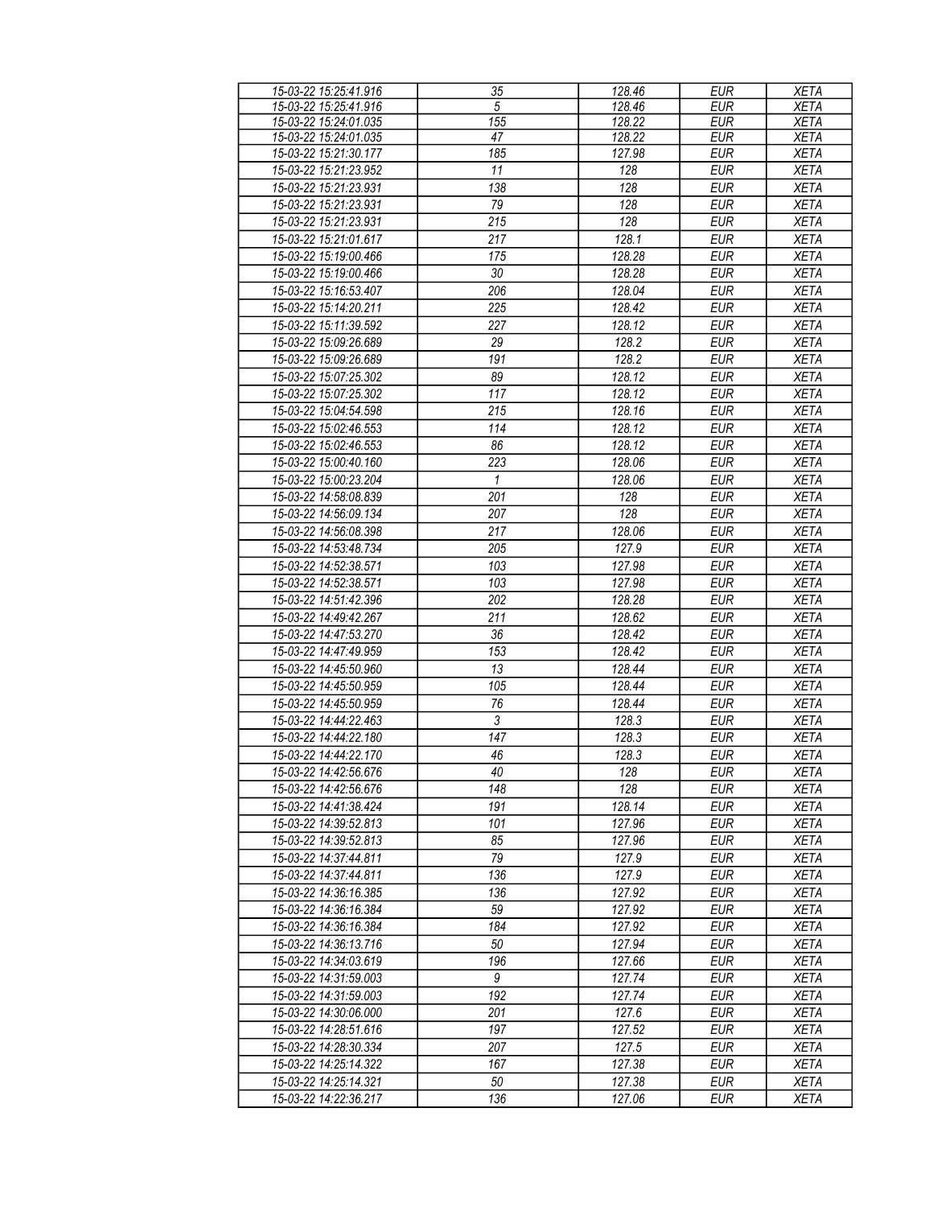| 15-03-22 15:25:41.916 | 35           | 128.46 | <b>EUR</b> | <b>XETA</b> |
|-----------------------|--------------|--------|------------|-------------|
| 15-03-22 15:25:41.916 | 5            | 128.46 | <b>EUR</b> | <b>XETA</b> |
| 15-03-22 15:24:01.035 | 155          | 128.22 | <b>EUR</b> | <b>XETA</b> |
| 15-03-22 15:24:01.035 | 47           | 128.22 | <b>EUR</b> | <b>XETA</b> |
| 15-03-22 15:21:30.177 | 185          | 127.98 | <b>EUR</b> | <b>XETA</b> |
| 15-03-22 15:21:23.952 | 11           | 128    | <b>EUR</b> | <b>XETA</b> |
| 15-03-22 15:21:23.931 | 138          | 128    | <b>EUR</b> | <b>XETA</b> |
| 15-03-22 15:21:23.931 | 79           | 128    | <b>EUR</b> | <b>XETA</b> |
| 15-03-22 15:21:23.931 | 215          | 128    | <b>EUR</b> | XETA        |
| 15-03-22 15:21:01.617 | 217          | 128.1  | <b>EUR</b> | <b>XETA</b> |
| 15-03-22 15:19:00.466 | 175          | 128.28 | <b>EUR</b> | <b>XETA</b> |
| 15-03-22 15:19:00.466 | 30           | 128.28 | <b>EUR</b> | <b>XETA</b> |
| 15-03-22 15:16:53.407 | 206          | 128.04 | <b>EUR</b> | <b>XETA</b> |
| 15-03-22 15:14:20.211 | 225          | 128.42 | <b>EUR</b> | <b>XETA</b> |
| 15-03-22 15:11:39.592 | 227          | 128.12 | <b>EUR</b> | <b>XETA</b> |
| 15-03-22 15:09:26.689 | 29           | 128.2  | <b>EUR</b> | <b>XETA</b> |
| 15-03-22 15:09:26.689 | 191          | 128.2  | <b>EUR</b> | <b>XETA</b> |
| 15-03-22 15:07:25.302 | 89           | 128.12 | <b>EUR</b> | <b>XETA</b> |
| 15-03-22 15:07:25.302 | 117          | 128.12 | <b>EUR</b> | <b>XETA</b> |
| 15-03-22 15:04:54.598 | 215          | 128.16 | <b>EUR</b> | <b>XETA</b> |
| 15-03-22 15:02:46.553 | 114          | 128.12 | <b>EUR</b> | <b>XETA</b> |
|                       | 86           |        |            |             |
| 15-03-22 15:02:46.553 |              | 128.12 | <b>EUR</b> | <b>XETA</b> |
| 15-03-22 15:00:40.160 | 223          | 128.06 | <b>EUR</b> | <b>XETA</b> |
| 15-03-22 15:00:23.204 | $\mathbf{1}$ | 128.06 | <b>EUR</b> | <b>XETA</b> |
| 15-03-22 14:58:08.839 | 201          | 128    | <b>EUR</b> | <b>XETA</b> |
| 15-03-22 14:56:09.134 | 207          | 128    | <b>EUR</b> | <b>XETA</b> |
| 15-03-22 14:56:08.398 | 217          | 128.06 | <b>EUR</b> | <b>XETA</b> |
| 15-03-22 14:53:48.734 | 205          | 127.9  | <b>EUR</b> | <b>XETA</b> |
| 15-03-22 14:52:38.571 | 103          | 127.98 | <b>EUR</b> | <b>XETA</b> |
| 15-03-22 14:52:38.571 | 103          | 127.98 | <b>EUR</b> | <b>XETA</b> |
| 15-03-22 14:51:42.396 | 202          | 128.28 | <b>EUR</b> | <b>XETA</b> |
| 15-03-22 14:49:42.267 | 211          | 128.62 | <b>EUR</b> | <b>XETA</b> |
| 15-03-22 14:47:53.270 | 36           | 128.42 | <b>EUR</b> | <b>XETA</b> |
| 15-03-22 14:47:49.959 | 153          | 128.42 | <b>EUR</b> | <b>XETA</b> |
| 15-03-22 14:45:50.960 | 13           | 128.44 | <b>EUR</b> | <b>XETA</b> |
| 15-03-22 14:45:50.959 | 105          | 128.44 | <b>EUR</b> | <b>XETA</b> |
| 15-03-22 14:45:50.959 | 76           | 128.44 | <b>EUR</b> | <b>XETA</b> |
| 15-03-22 14:44:22.463 | 3            | 128.3  | <b>EUR</b> | <b>XETA</b> |
| 15-03-22 14:44:22.180 | 147          | 128.3  | <b>EUR</b> | <b>XETA</b> |
| 15-03-22 14:44:22.170 | 46           | 128.3  | <b>EUR</b> | <b>XETA</b> |
| 15-03-22 14:42:56.676 | 40           | 128    | EUR        | XETA        |
| 15-03-22 14:42:56.676 | 148          | 128    | <b>EUR</b> | <b>XETA</b> |
| 15-03-22 14:41:38.424 | 191          | 128.14 | EUR        | <b>XETA</b> |
| 15-03-22 14:39:52.813 | 101          | 127.96 | <b>EUR</b> | <b>XETA</b> |
| 15-03-22 14:39:52.813 | 85           | 127.96 | <b>EUR</b> | <b>XETA</b> |
| 15-03-22 14:37:44.811 | 79           | 127.9  | <b>EUR</b> | <b>XETA</b> |
| 15-03-22 14:37:44.811 | 136          | 127.9  | <b>EUR</b> | <b>XETA</b> |
| 15-03-22 14:36:16.385 | 136          | 127.92 | <b>EUR</b> | <b>XETA</b> |
| 15-03-22 14:36:16.384 | 59           | 127.92 | <b>EUR</b> | <b>XETA</b> |
| 15-03-22 14:36:16.384 | 184          | 127.92 | <b>EUR</b> | <b>XETA</b> |
| 15-03-22 14:36:13.716 | 50           | 127.94 | <b>EUR</b> | <b>XETA</b> |
| 15-03-22 14:34:03.619 | 196          | 127.66 | <b>EUR</b> | <b>XETA</b> |
| 15-03-22 14:31:59.003 | 9            | 127.74 | <b>EUR</b> | <b>XETA</b> |
| 15-03-22 14:31:59.003 | 192          | 127.74 | <b>EUR</b> | <b>XETA</b> |
| 15-03-22 14:30:06.000 | 201          | 127.6  | <b>EUR</b> | <b>XETA</b> |
| 15-03-22 14:28:51.616 | 197          | 127.52 | <b>EUR</b> | <b>XETA</b> |
| 15-03-22 14:28:30.334 | 207          | 127.5  | <b>EUR</b> | <b>XETA</b> |
| 15-03-22 14:25:14.322 | 167          | 127.38 | <b>EUR</b> | <b>XETA</b> |
| 15-03-22 14:25:14.321 | 50           | 127.38 | EUR        | XETA        |
| 15-03-22 14:22:36.217 | 136          | 127.06 | <b>EUR</b> | XETA        |
|                       |              |        |            |             |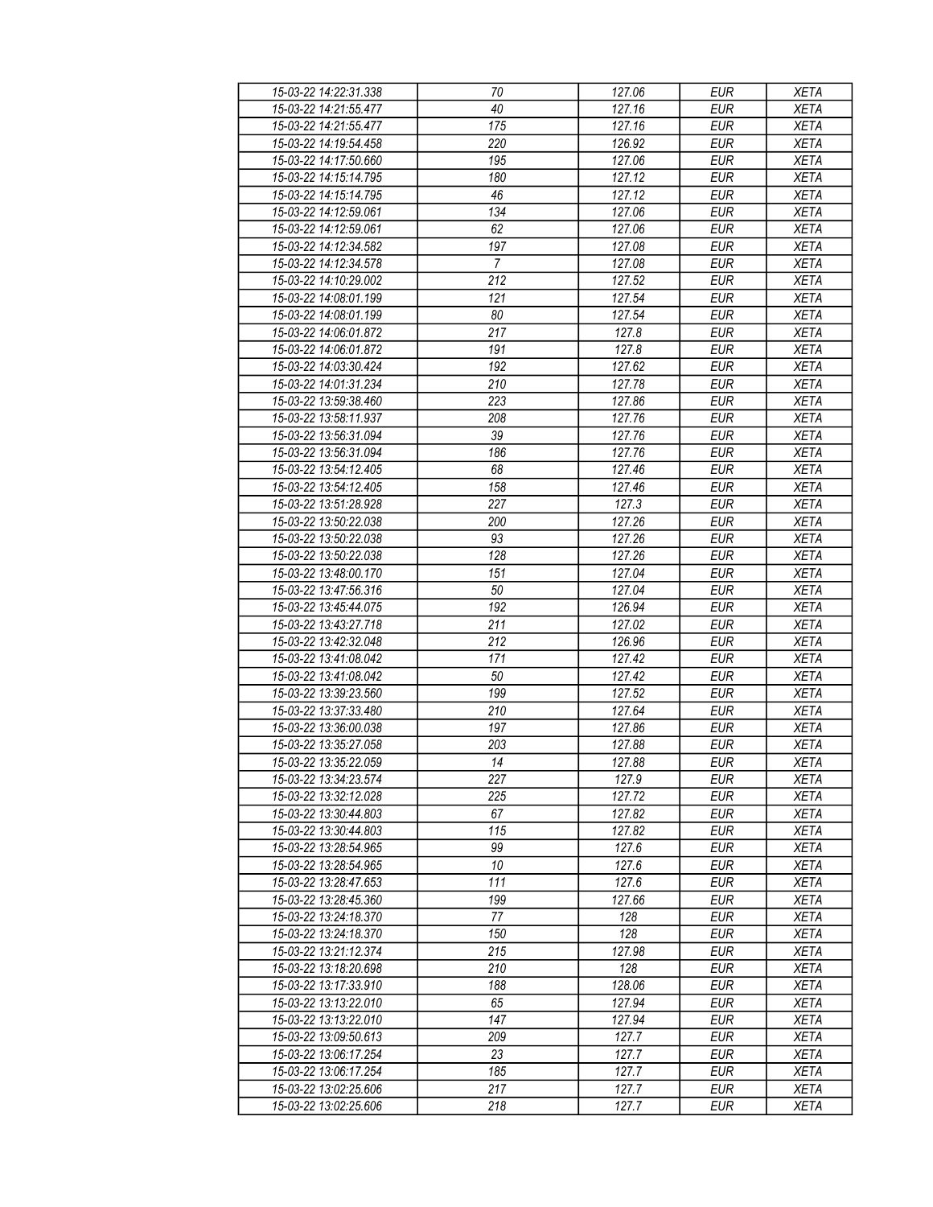| 15-03-22 14:22:31.338 | 70             | 127.06 | <b>EUR</b> | <b>XETA</b> |
|-----------------------|----------------|--------|------------|-------------|
| 15-03-22 14:21:55.477 | 40             | 127.16 | <b>EUR</b> | <b>XETA</b> |
| 15-03-22 14:21:55.477 | 175            | 127.16 | <b>EUR</b> | <b>XETA</b> |
| 15-03-22 14:19:54.458 | 220            | 126.92 | <b>EUR</b> | <b>XETA</b> |
| 15-03-22 14:17:50.660 | 195            | 127.06 | <b>EUR</b> | <b>XETA</b> |
| 15-03-22 14:15:14.795 | 180            | 127.12 | <b>EUR</b> | <b>XETA</b> |
|                       |                | 127.12 | <b>EUR</b> |             |
| 15-03-22 14:15:14.795 | 46             |        |            | <b>XETA</b> |
| 15-03-22 14:12:59.061 | 134            | 127.06 | <b>EUR</b> | <b>XETA</b> |
| 15-03-22 14:12:59.061 | 62             | 127.06 | <b>EUR</b> | <b>XETA</b> |
| 15-03-22 14:12:34.582 | 197            | 127.08 | <b>EUR</b> | <b>XETA</b> |
| 15-03-22 14:12:34.578 | $\overline{7}$ | 127.08 | <b>EUR</b> | <b>XETA</b> |
| 15-03-22 14:10:29.002 | 212            | 127.52 | <b>EUR</b> | <b>XETA</b> |
| 15-03-22 14:08:01.199 | 121            | 127.54 | <b>EUR</b> | <b>XETA</b> |
| 15-03-22 14:08:01.199 | 80             | 127.54 | <b>EUR</b> | <b>XETA</b> |
| 15-03-22 14:06:01.872 | 217            | 127.8  | <b>EUR</b> | <b>XETA</b> |
| 15-03-22 14:06:01.872 | 191            | 127.8  | <b>EUR</b> | <b>XETA</b> |
| 15-03-22 14:03:30.424 | 192            | 127.62 | <b>EUR</b> | <b>XETA</b> |
| 15-03-22 14:01:31.234 | 210            | 127.78 | <b>EUR</b> | <b>XETA</b> |
| 15-03-22 13:59:38.460 | 223            | 127.86 | <b>EUR</b> | <b>XETA</b> |
| 15-03-22 13:58:11.937 | 208            | 127.76 | <b>EUR</b> | <b>XETA</b> |
| 15-03-22 13:56:31.094 | 39             | 127.76 | <b>EUR</b> | <b>XETA</b> |
| 15-03-22 13:56:31.094 | 186            | 127.76 | <b>EUR</b> | <b>XETA</b> |
| 15-03-22 13:54:12.405 | 68             | 127.46 | <b>EUR</b> | <b>XETA</b> |
| 15-03-22 13:54:12.405 | 158            | 127.46 | <b>EUR</b> | <b>XETA</b> |
|                       |                |        |            |             |
| 15-03-22 13:51:28.928 | 227            | 127.3  | <b>EUR</b> | <b>XETA</b> |
| 15-03-22 13:50:22.038 | 200            | 127.26 | <b>EUR</b> | <b>XETA</b> |
| 15-03-22 13:50:22.038 | 93             | 127.26 | <b>EUR</b> | <b>XETA</b> |
| 15-03-22 13:50:22.038 | 128            | 127.26 | <b>EUR</b> | <b>XETA</b> |
| 15-03-22 13:48:00.170 | 151            | 127.04 | <b>EUR</b> | <b>XETA</b> |
| 15-03-22 13:47:56.316 | 50             | 127.04 | <b>EUR</b> | <b>XETA</b> |
| 15-03-22 13:45:44.075 | 192            | 126.94 | <b>EUR</b> | <b>XETA</b> |
| 15-03-22 13:43:27.718 | 211            | 127.02 | <b>EUR</b> | <b>XETA</b> |
| 15-03-22 13:42:32.048 | 212            | 126.96 | <b>EUR</b> | <b>XETA</b> |
| 15-03-22 13:41:08.042 | 171            | 127.42 | <b>EUR</b> | <b>XETA</b> |
| 15-03-22 13:41:08.042 | 50             | 127.42 | <b>EUR</b> | <b>XETA</b> |
| 15-03-22 13:39:23.560 | 199            | 127.52 | <b>EUR</b> | <b>XETA</b> |
| 15-03-22 13:37:33.480 | 210            | 127.64 | <b>EUR</b> | <b>XETA</b> |
| 15-03-22 13:36:00.038 | 197            | 127.86 | <b>EUR</b> | <b>XETA</b> |
| 15-03-22 13:35:27.058 | 203            | 127.88 | <b>EUR</b> | <b>XETA</b> |
| 15-03-22 13:35:22.059 | 14             | 127.88 | <b>EUR</b> | <b>XETA</b> |
| 15-03-22 13:34:23.574 | 227            | 127.9  | EUR        | XETA        |
| 15-03-22 13:32:12.028 | 225            | 127.72 | <b>EUR</b> |             |
|                       | 67             |        | <b>EUR</b> | <b>XETA</b> |
| 15-03-22 13:30:44.803 |                | 127.82 |            | <b>XETA</b> |
| 15-03-22 13:30:44.803 | 115            | 127.82 | <b>EUR</b> | <b>XETA</b> |
| 15-03-22 13:28:54.965 | 99             | 127.6  | <b>EUR</b> | <b>XETA</b> |
| 15-03-22 13:28:54.965 | $10\,$         | 127.6  | <b>EUR</b> | <b>XETA</b> |
| 15-03-22 13:28:47.653 | 111            | 127.6  | <b>EUR</b> | <b>XETA</b> |
| 15-03-22 13:28:45.360 | 199            | 127.66 | <b>EUR</b> | <b>XETA</b> |
| 15-03-22 13:24:18.370 | 77             | 128    | <b>EUR</b> | <b>XETA</b> |
| 15-03-22 13:24:18.370 | 150            | 128    | EUR        | <b>XETA</b> |
| 15-03-22 13:21:12.374 | 215            | 127.98 | <b>EUR</b> | <b>XETA</b> |
| 15-03-22 13:18:20.698 | 210            | 128    | <b>EUR</b> | <b>XETA</b> |
| 15-03-22 13:17:33.910 | 188            | 128.06 | <b>EUR</b> | <b>XETA</b> |
| 15-03-22 13:13:22.010 | 65             | 127.94 | EUR        | <b>XETA</b> |
| 15-03-22 13:13:22.010 | 147            | 127.94 | <b>EUR</b> | <b>XETA</b> |
| 15-03-22 13:09:50.613 | 209            | 127.7  | <b>EUR</b> | <b>XETA</b> |
| 15-03-22 13:06:17.254 | 23             | 127.7  | <b>EUR</b> | <b>XETA</b> |
| 15-03-22 13:06:17.254 | 185            | 127.7  | EUR        | XETA        |
| 15-03-22 13:02:25.606 | 217            | 127.7  | <b>EUR</b> |             |
|                       |                |        |            | <b>XETA</b> |
| 15-03-22 13:02:25.606 | 218            | 127.7  | EUR        | <b>XETA</b> |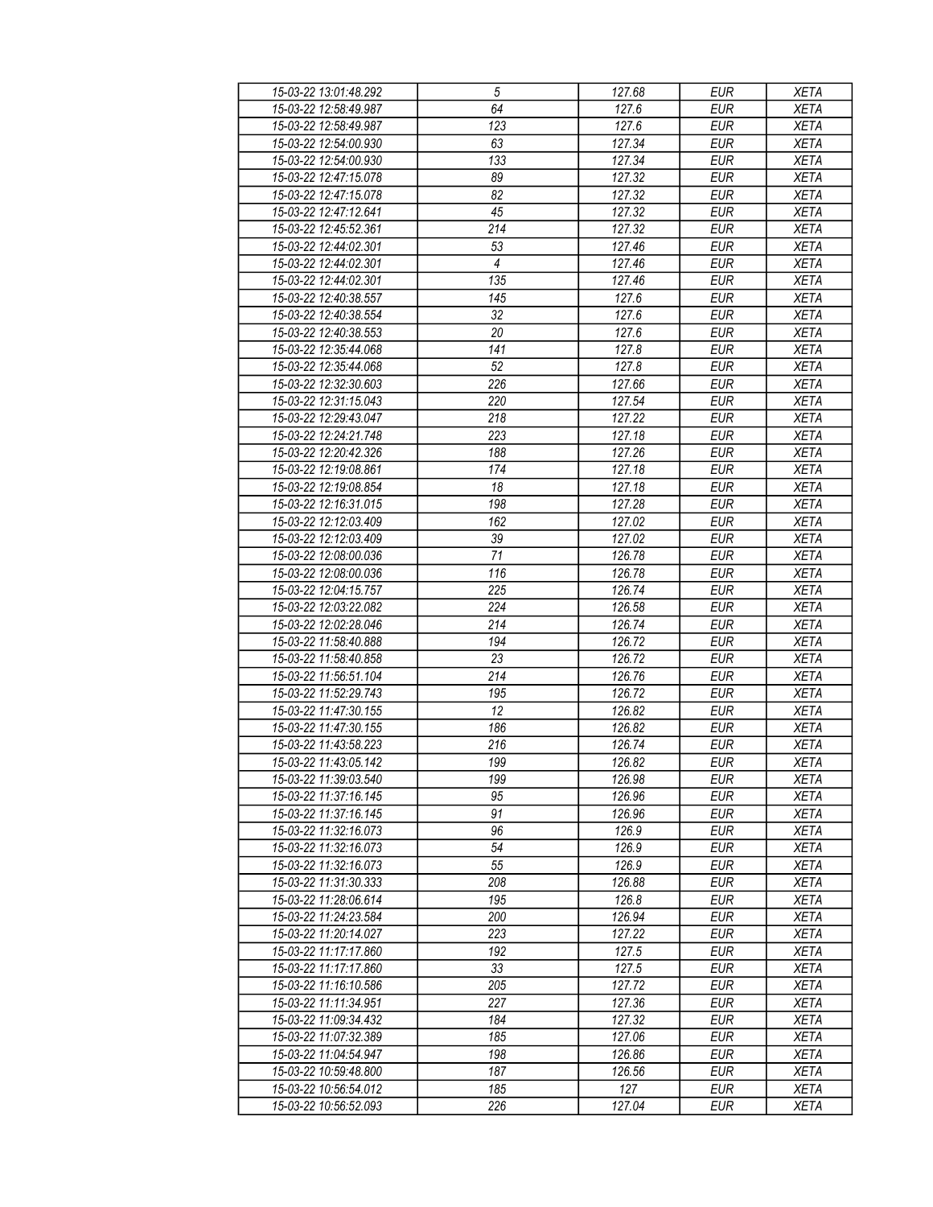| 15-03-22 13:01:48.292 | 5                | 127.68 | <b>EUR</b> | <b>XETA</b> |
|-----------------------|------------------|--------|------------|-------------|
| 15-03-22 12:58:49.987 | 64               | 127.6  | <b>EUR</b> | <b>XETA</b> |
| 15-03-22 12:58:49.987 | $\overline{123}$ | 127.6  | <b>EUR</b> | <b>XETA</b> |
| 15-03-22 12:54:00.930 | 63               | 127.34 | <b>EUR</b> | <b>XETA</b> |
| 15-03-22 12:54:00.930 | 133              | 127.34 | <b>EUR</b> | <b>XETA</b> |
| 15-03-22 12:47:15.078 | 89               | 127.32 | <b>EUR</b> | <b>XETA</b> |
|                       |                  | 127.32 | <b>EUR</b> |             |
| 15-03-22 12:47:15.078 | 82               |        |            | <b>XETA</b> |
| 15-03-22 12:47:12.641 | 45               | 127.32 | <b>EUR</b> | <b>XETA</b> |
| 15-03-22 12:45:52.361 | 214              | 127.32 | <b>EUR</b> | <b>XETA</b> |
| 15-03-22 12:44:02.301 | 53               | 127.46 | <b>EUR</b> | <b>XETA</b> |
| 15-03-22 12:44:02.301 | $\overline{4}$   | 127.46 | <b>EUR</b> | <b>XETA</b> |
| 15-03-22 12:44:02.301 | 135              | 127.46 | <b>EUR</b> | <b>XETA</b> |
| 15-03-22 12:40:38.557 | 145              | 127.6  | <b>EUR</b> | <b>XETA</b> |
| 15-03-22 12:40:38.554 | 32               | 127.6  | <b>EUR</b> | <b>XETA</b> |
| 15-03-22 12:40:38.553 | 20               | 127.6  | <b>EUR</b> | <b>XETA</b> |
| 15-03-22 12:35:44.068 | 141              | 127.8  | <b>EUR</b> | <b>XETA</b> |
| 15-03-22 12:35:44.068 | 52               | 127.8  | <b>EUR</b> | <b>XETA</b> |
| 15-03-22 12:32:30.603 | 226              | 127.66 | <b>EUR</b> | <b>XETA</b> |
| 15-03-22 12:31:15.043 | 220              | 127.54 | <b>EUR</b> | <b>XETA</b> |
| 15-03-22 12:29:43.047 | 218              | 127.22 | <b>EUR</b> | <b>XETA</b> |
| 15-03-22 12:24:21.748 | 223              | 127.18 | <b>EUR</b> | <b>XETA</b> |
| 15-03-22 12:20:42.326 | 188              | 127.26 | <b>EUR</b> | <b>XETA</b> |
| 15-03-22 12:19:08.861 | 174              | 127.18 | <b>EUR</b> | <b>XETA</b> |
| 15-03-22 12:19:08.854 | 18               | 127.18 | <b>EUR</b> | <b>XETA</b> |
| 15-03-22 12:16:31.015 | 198              | 127.28 | <b>EUR</b> | <b>XETA</b> |
| 15-03-22 12:12:03.409 | 162              | 127.02 | <b>EUR</b> | <b>XETA</b> |
| 15-03-22 12:12:03.409 | 39               | 127.02 | <b>EUR</b> | <b>XETA</b> |
|                       | $\overline{71}$  |        |            |             |
| 15-03-22 12:08:00.036 |                  | 126.78 | <b>EUR</b> | <b>XETA</b> |
| 15-03-22 12:08:00.036 | 116              | 126.78 | <b>EUR</b> | <b>XETA</b> |
| 15-03-22 12:04:15.757 | 225              | 126.74 | <b>EUR</b> | <b>XETA</b> |
| 15-03-22 12:03:22.082 | 224              | 126.58 | <b>EUR</b> | <b>XETA</b> |
| 15-03-22 12:02:28.046 | 214              | 126.74 | <b>EUR</b> | <b>XETA</b> |
| 15-03-22 11:58:40.888 | 194              | 126.72 | <b>EUR</b> | <b>XETA</b> |
| 15-03-22 11:58:40.858 | 23               | 126.72 | <b>EUR</b> | <b>XETA</b> |
| 15-03-22 11:56:51.104 | 214              | 126.76 | <b>EUR</b> | <b>XETA</b> |
| 15-03-22 11:52:29.743 | 195              | 126.72 | <b>EUR</b> | <b>XETA</b> |
| 15-03-22 11:47:30.155 | 12               | 126.82 | <b>EUR</b> | <b>XETA</b> |
| 15-03-22 11:47:30.155 | 186              | 126.82 | <b>EUR</b> | <b>XETA</b> |
| 15-03-22 11:43:58.223 | 216              | 126.74 | <b>EUR</b> | <b>XETA</b> |
| 15-03-22 11:43:05.142 | 199              | 126.82 | <b>EUR</b> | <b>XETA</b> |
| 15-03-22 11:39:03.540 | 199              | 126.98 | EUR        | XETA        |
| 15-03-22 11:37:16.145 | 95               | 126.96 | <b>EUR</b> | <b>XETA</b> |
| 15-03-22 11:37:16.145 | 91               | 126.96 | <b>EUR</b> | <b>XETA</b> |
| 15-03-22 11:32:16.073 | 96               | 126.9  | <b>EUR</b> | <b>XETA</b> |
| 15-03-22 11:32:16.073 | 54               | 126.9  | <b>EUR</b> | <b>XETA</b> |
| 15-03-22 11:32:16.073 | 55               | 126.9  | <b>EUR</b> | <b>XETA</b> |
| 15-03-22 11:31:30.333 | 208              | 126.88 | <b>EUR</b> | <b>XETA</b> |
| 15-03-22 11:28:06.614 | 195              | 126.8  | <b>EUR</b> | <b>XETA</b> |
| 15-03-22 11:24:23.584 | 200              | 126.94 | <b>EUR</b> | <b>XETA</b> |
|                       |                  | 127.22 | <b>EUR</b> |             |
| 15-03-22 11:20:14.027 | 223<br>192       |        |            | <b>XETA</b> |
| 15-03-22 11:17:17.860 |                  | 127.5  | <b>EUR</b> | <b>XETA</b> |
| 15-03-22 11:17:17.860 | 33               | 127.5  | <b>EUR</b> | <b>XETA</b> |
| 15-03-22 11:16:10.586 | 205              | 127.72 | <b>EUR</b> | <b>XETA</b> |
| 15-03-22 11:11:34.951 | 227              | 127.36 | EUR        | <b>XETA</b> |
| 15-03-22 11:09:34.432 | 184              | 127.32 | <b>EUR</b> | <b>XETA</b> |
| 15-03-22 11:07:32.389 | 185              | 127.06 | <b>EUR</b> | <b>XETA</b> |
| 15-03-22 11:04:54.947 | 198              | 126.86 | <b>EUR</b> | <b>XETA</b> |
| 15-03-22 10:59:48.800 | 187              | 126.56 | EUR        | XETA        |
| 15-03-22 10:56:54.012 | 185              | 127    | EUR        | <b>XETA</b> |
| 15-03-22 10:56:52.093 | 226              | 127.04 | EUR        | <b>XETA</b> |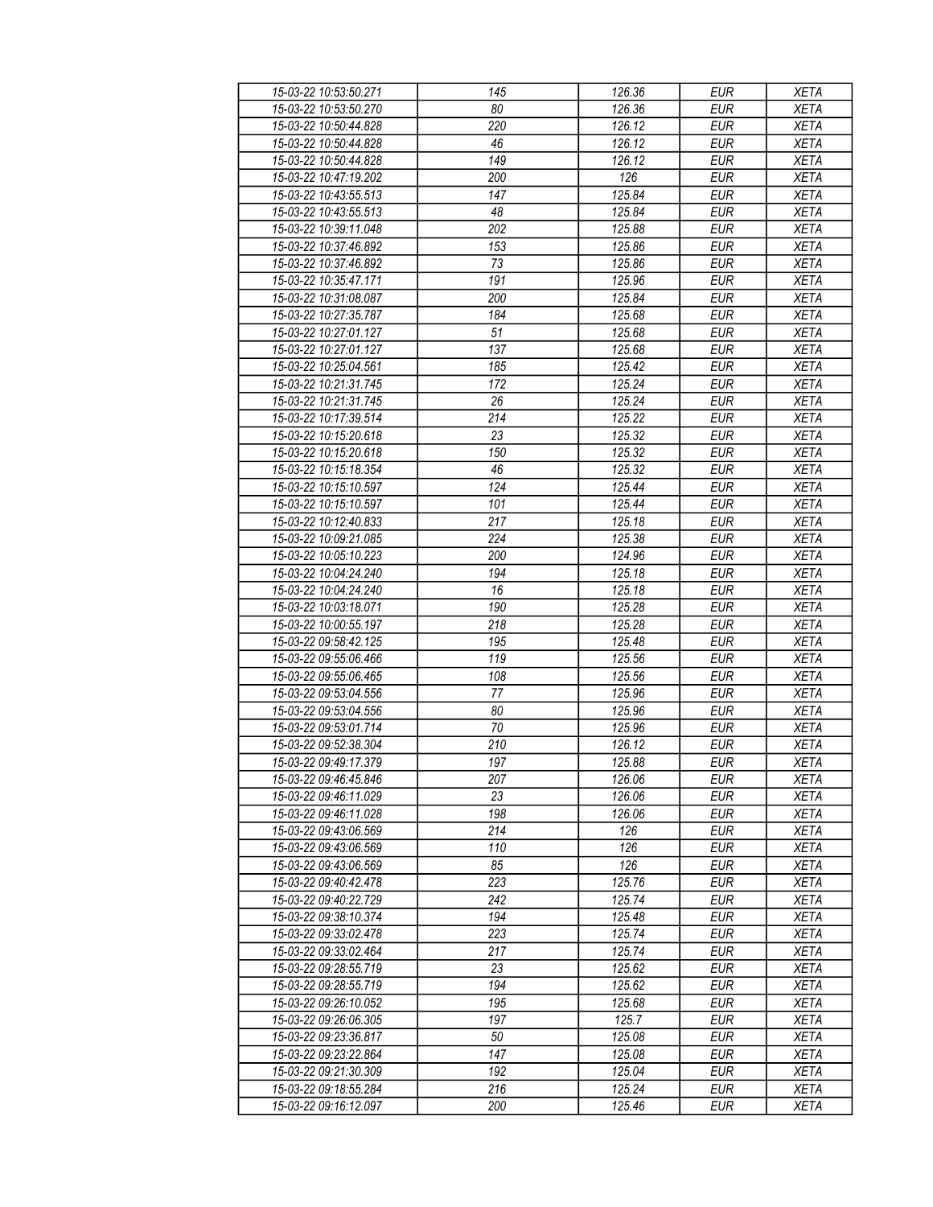| 15-03-22 10:53:50.271 | 145 | 126.36 | <b>EUR</b> | <b>XETA</b> |
|-----------------------|-----|--------|------------|-------------|
| 15-03-22 10:53:50.270 | 80  | 126.36 | <b>EUR</b> | <b>XETA</b> |
| 15-03-22 10:50:44.828 | 220 | 126.12 | <b>EUR</b> | <b>XETA</b> |
| 15-03-22 10:50:44.828 | 46  | 126.12 | <b>EUR</b> | <b>XETA</b> |
| 15-03-22 10:50:44.828 | 149 | 126.12 | <b>EUR</b> | <b>XETA</b> |
| 15-03-22 10:47:19.202 | 200 | 126    | <b>EUR</b> | <b>XETA</b> |
|                       |     | 125.84 | <b>EUR</b> |             |
| 15-03-22 10:43:55.513 | 147 |        |            | <b>XETA</b> |
| 15-03-22 10:43:55.513 | 48  | 125.84 | <b>EUR</b> | <b>XETA</b> |
| 15-03-22 10:39:11.048 | 202 | 125.88 | <b>EUR</b> | <b>XETA</b> |
| 15-03-22 10:37:46.892 | 153 | 125.86 | <b>EUR</b> | <b>XETA</b> |
| 15-03-22 10:37:46.892 | 73  | 125.86 | <b>EUR</b> | <b>XETA</b> |
| 15-03-22 10:35:47.171 | 191 | 125.96 | <b>EUR</b> | <b>XETA</b> |
| 15-03-22 10:31:08.087 | 200 | 125.84 | <b>EUR</b> | <b>XETA</b> |
| 15-03-22 10:27:35.787 | 184 | 125.68 | <b>EUR</b> | <b>XETA</b> |
| 15-03-22 10:27:01.127 | 51  | 125.68 | <b>EUR</b> | <b>XETA</b> |
| 15-03-22 10:27:01.127 | 137 | 125.68 | <b>EUR</b> | <b>XETA</b> |
| 15-03-22 10:25:04.561 | 185 | 125.42 | <b>EUR</b> | <b>XETA</b> |
| 15-03-22 10:21:31.745 | 172 | 125.24 | <b>EUR</b> | <b>XETA</b> |
| 15-03-22 10:21:31.745 | 26  | 125.24 | <b>EUR</b> | <b>XETA</b> |
| 15-03-22 10:17:39.514 | 214 | 125.22 | <b>EUR</b> | <b>XETA</b> |
| 15-03-22 10:15:20.618 | 23  | 125.32 | <b>EUR</b> | <b>XETA</b> |
| 15-03-22 10:15:20.618 | 150 | 125.32 | <b>EUR</b> | <b>XETA</b> |
| 15-03-22 10:15:18.354 | 46  | 125.32 | <b>EUR</b> | <b>XETA</b> |
| 15-03-22 10:15:10.597 | 124 | 125.44 | <b>EUR</b> | <b>XETA</b> |
| 15-03-22 10:15:10.597 | 101 | 125.44 | <b>EUR</b> | <b>XETA</b> |
|                       |     |        |            |             |
| 15-03-22 10:12:40.833 | 217 | 125.18 | <b>EUR</b> | <b>XETA</b> |
| 15-03-22 10:09:21.085 | 224 | 125.38 | <b>EUR</b> | <b>XETA</b> |
| 15-03-22 10:05:10.223 | 200 | 124.96 | <b>EUR</b> | <b>XETA</b> |
| 15-03-22 10:04:24.240 | 194 | 125.18 | <b>EUR</b> | <b>XETA</b> |
| 15-03-22 10:04:24.240 | 16  | 125.18 | <b>EUR</b> | <b>XETA</b> |
| 15-03-22 10:03:18.071 | 190 | 125.28 | <b>EUR</b> | <b>XETA</b> |
| 15-03-22 10:00:55.197 | 218 | 125.28 | <b>EUR</b> | <b>XETA</b> |
| 15-03-22 09:58:42.125 | 195 | 125.48 | <b>EUR</b> | <b>XETA</b> |
| 15-03-22 09:55:06.466 | 119 | 125.56 | <b>EUR</b> | <b>XETA</b> |
| 15-03-22 09:55:06.465 | 108 | 125.56 | <b>EUR</b> | <b>XETA</b> |
| 15-03-22 09:53:04.556 | 77  | 125.96 | <b>EUR</b> | <b>XETA</b> |
| 15-03-22 09:53:04.556 | 80  | 125.96 | <b>EUR</b> | <b>XETA</b> |
| 15-03-22 09:53:01.714 | 70  | 125.96 | <b>EUR</b> | <b>XETA</b> |
| 15-03-22 09:52:38.304 | 210 | 126.12 | <b>EUR</b> | <b>XETA</b> |
| 15-03-22 09:49:17.379 | 197 | 125.88 | <b>EUR</b> | <b>XETA</b> |
| 15-03-22 09:46:45.846 | 207 | 126.06 | EUR        | XETA        |
| 15-03-22 09:46:11.029 | 23  | 126.06 | <b>EUR</b> | <b>XETA</b> |
| 15-03-22 09:46:11.028 | 198 | 126.06 | <b>EUR</b> | <b>XETA</b> |
| 15-03-22 09:43:06.569 | 214 | 126    | <b>EUR</b> | <b>XETA</b> |
| 15-03-22 09:43:06.569 | 110 | 126    | <b>EUR</b> | <b>XETA</b> |
| 15-03-22 09:43:06.569 | 85  | 126    | <b>EUR</b> | <b>XETA</b> |
| 15-03-22 09:40:42.478 | 223 | 125.76 | <b>EUR</b> | <b>XETA</b> |
| 15-03-22 09:40:22.729 | 242 | 125.74 | <b>EUR</b> | <b>XETA</b> |
|                       |     |        |            |             |
| 15-03-22 09:38:10.374 | 194 | 125.48 | <b>EUR</b> | <b>XETA</b> |
| 15-03-22 09:33:02.478 | 223 | 125.74 | <b>EUR</b> | <b>XETA</b> |
| 15-03-22 09:33:02.464 | 217 | 125.74 | <b>EUR</b> | <b>XETA</b> |
| 15-03-22 09:28:55.719 | 23  | 125.62 | <b>EUR</b> | <b>XETA</b> |
| 15-03-22 09:28:55.719 | 194 | 125.62 | <b>EUR</b> | <b>XETA</b> |
| 15-03-22 09:26:10.052 | 195 | 125.68 | EUR        | <b>XETA</b> |
| 15-03-22 09:26:06.305 | 197 | 125.7  | EUR        | <b>XETA</b> |
| 15-03-22 09:23:36.817 | 50  | 125.08 | <b>EUR</b> | <b>XETA</b> |
| 15-03-22 09:23:22.864 | 147 | 125.08 | <b>EUR</b> | <b>XETA</b> |
| 15-03-22 09:21:30.309 | 192 | 125.04 | EUR        | XETA        |
| 15-03-22 09:18:55.284 | 216 | 125.24 | EUR        | <b>XETA</b> |
| 15-03-22 09:16:12.097 | 200 | 125.46 | EUR        | <b>XETA</b> |
|                       |     |        |            |             |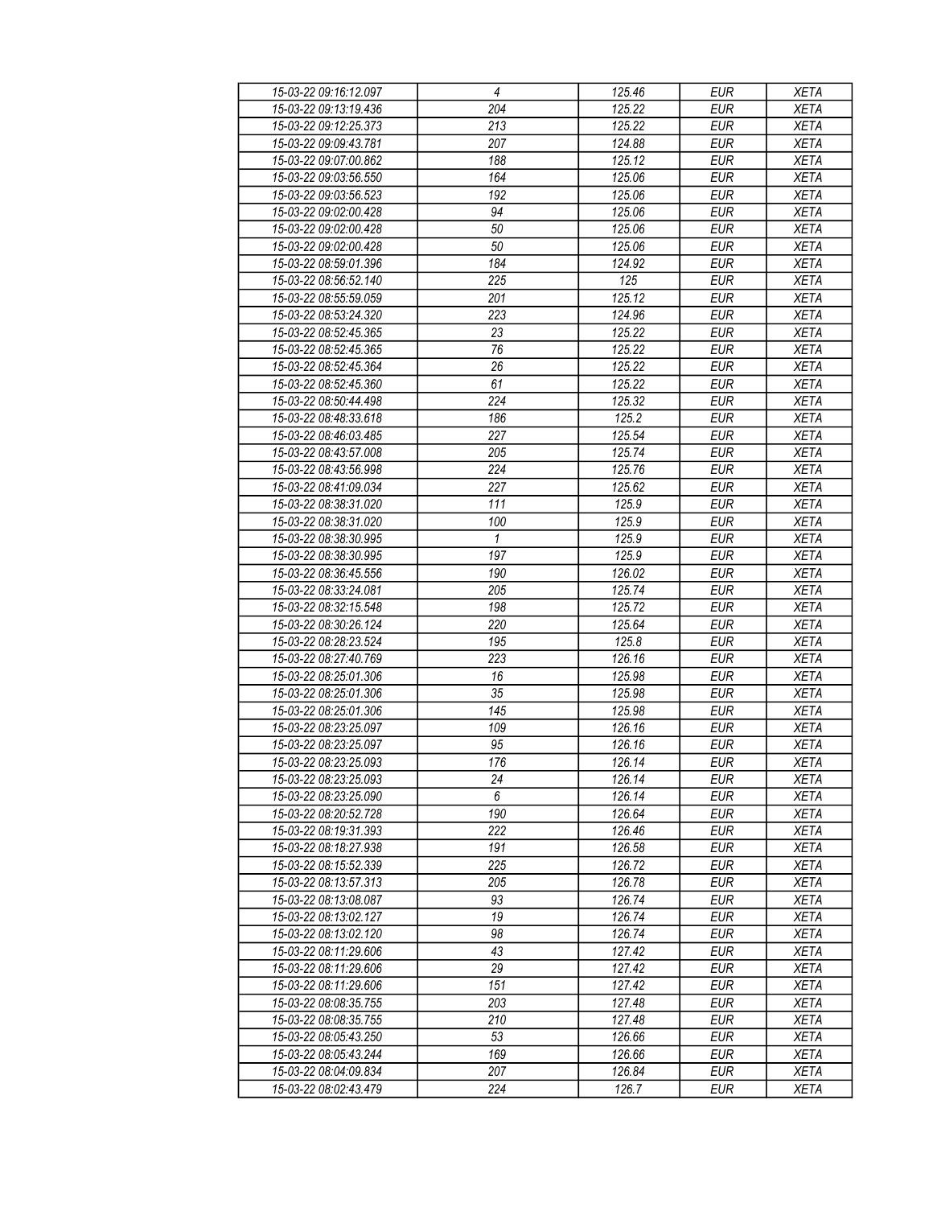| 15-03-22 09:16:12.097 | $\overline{4}$   | 125.46              | <b>EUR</b> | <b>XETA</b> |
|-----------------------|------------------|---------------------|------------|-------------|
| 15-03-22 09:13:19.436 | 204              | 125.22              | <b>EUR</b> | <b>XETA</b> |
| 15-03-22 09:12:25.373 | $\overline{213}$ | 125.22              | <b>EUR</b> | <b>XETA</b> |
| 15-03-22 09:09:43.781 | 207              | 124.88              | <b>EUR</b> | <b>XETA</b> |
| 15-03-22 09:07:00.862 | 188              | 125.12              | <b>EUR</b> | <b>XETA</b> |
| 15-03-22 09:03:56.550 | 164              | 125.06              | <b>EUR</b> | <b>XETA</b> |
| 15-03-22 09:03:56.523 | 192              | 125.06              | <b>EUR</b> | <b>XETA</b> |
| 15-03-22 09:02:00.428 | 94               | 125.06              | <b>EUR</b> | <b>XETA</b> |
| 15-03-22 09:02:00.428 | 50               | 125.06              | <b>EUR</b> | <b>XETA</b> |
| 15-03-22 09:02:00.428 | 50               | 125.06              | <b>EUR</b> | <b>XETA</b> |
| 15-03-22 08:59:01.396 | 184              | 124.92              | <b>EUR</b> | <b>XETA</b> |
| 15-03-22 08:56:52.140 | 225              | 125                 | <b>EUR</b> | <b>XETA</b> |
| 15-03-22 08:55:59.059 | 201              | 125.12              | <b>EUR</b> | <b>XETA</b> |
| 15-03-22 08:53:24.320 | 223              | 124.96              | <b>EUR</b> | <b>XETA</b> |
|                       |                  |                     |            |             |
| 15-03-22 08:52:45.365 | 23               | 125.22              | <b>EUR</b> | <b>XETA</b> |
| 15-03-22 08:52:45.365 | 76               | 125.22              | <b>EUR</b> | <b>XETA</b> |
| 15-03-22 08:52:45.364 | 26               | 125.22              | <b>EUR</b> | <b>XETA</b> |
| 15-03-22 08:52:45.360 | 61               | 125.22              | <b>EUR</b> | <b>XETA</b> |
| 15-03-22 08:50:44.498 | 224              | $\overline{125.32}$ | <b>EUR</b> | <b>XETA</b> |
| 15-03-22 08:48:33.618 | 186              | 125.2               | <b>EUR</b> | <b>XETA</b> |
| 15-03-22 08:46:03.485 | 227              | 125.54              | <b>EUR</b> | <b>XETA</b> |
| 15-03-22 08:43:57.008 | 205              | 125.74              | <b>EUR</b> | <b>XETA</b> |
| 15-03-22 08:43:56.998 | 224              | 125.76              | <b>EUR</b> | <b>XETA</b> |
| 15-03-22 08:41:09.034 | 227              | 125.62              | <b>EUR</b> | <b>XETA</b> |
| 15-03-22 08:38:31.020 | 111              | 125.9               | <b>EUR</b> | <b>XETA</b> |
| 15-03-22 08:38:31.020 | 100              | 125.9               | <b>EUR</b> | <b>XETA</b> |
| 15-03-22 08:38:30.995 | 1                | 125.9               | <b>EUR</b> | <b>XETA</b> |
| 15-03-22 08:38:30.995 | 197              | 125.9               | <b>EUR</b> | <b>XETA</b> |
| 15-03-22 08:36:45.556 | 190              | 126.02              | <b>EUR</b> | <b>XETA</b> |
| 15-03-22 08:33:24.081 | 205              | 125.74              | <b>EUR</b> | <b>XETA</b> |
| 15-03-22 08:32:15.548 | 198              | 125.72              | <b>EUR</b> | <b>XETA</b> |
| 15-03-22 08:30:26.124 | 220              | 125.64              | <b>EUR</b> | <b>XETA</b> |
| 15-03-22 08:28:23.524 | 195              | 125.8               | <b>EUR</b> | <b>XETA</b> |
| 15-03-22 08:27:40.769 | 223              | 126.16              | <b>EUR</b> | <b>XETA</b> |
| 15-03-22 08:25:01.306 | 16               | 125.98              | <b>EUR</b> | <b>XETA</b> |
| 15-03-22 08:25:01.306 | 35               | 125.98              | <b>EUR</b> | <b>XETA</b> |
| 15-03-22 08:25:01.306 | 145              | 125.98              | <b>EUR</b> | <b>XETA</b> |
| 15-03-22 08:23:25.097 | 109              | 126.16              | <b>EUR</b> | <b>XETA</b> |
| 15-03-22 08:23:25.097 | 95               | 126.16              | <b>EUR</b> | <b>XETA</b> |
| 15-03-22 08:23:25.093 | 176              | 126.14              | <b>EUR</b> | <b>XETA</b> |
| 15-03-22 08:23:25.093 | 24               | 126.14              | EUR        | XETA        |
| 15-03-22 08:23:25.090 | 6                | 126.14              | <b>EUR</b> | <b>XETA</b> |
| 15-03-22 08:20:52.728 | 190              | 126.64              | <b>EUR</b> | XETA        |
| 15-03-22 08:19:31.393 | 222              | 126.46              | <b>EUR</b> | XETA        |
| 15-03-22 08:18:27.938 | 191              | 126.58              | <b>EUR</b> | <b>XETA</b> |
| 15-03-22 08:15:52.339 | 225              | 126.72              | <b>EUR</b> | <b>XETA</b> |
| 15-03-22 08:13:57.313 | 205              | 126.78              | <b>EUR</b> | <b>XETA</b> |
| 15-03-22 08:13:08.087 | 93               | 126.74              | <b>EUR</b> | <b>XETA</b> |
| 15-03-22 08:13:02.127 | 19               | 126.74              | <b>EUR</b> | <b>XETA</b> |
| 15-03-22 08:13:02.120 | 98               | 126.74              | EUR        | <b>XETA</b> |
| 15-03-22 08:11:29.606 | 43               | 127.42              | <b>EUR</b> | XETA        |
| 15-03-22 08:11:29.606 | 29               | 127.42              | <b>EUR</b> | XETA        |
| 15-03-22 08:11:29.606 | 151              | 127.42              | <b>EUR</b> | XETA        |
| 15-03-22 08:08:35.755 | 203              | 127.48              | EUR        | <b>XETA</b> |
| 15-03-22 08:08:35.755 | 210              | 127.48              | <b>EUR</b> | <b>XETA</b> |
| 15-03-22 08:05:43.250 | 53               | 126.66              | <b>EUR</b> | <b>XETA</b> |
| 15-03-22 08:05:43.244 | 169              | 126.66              | <b>EUR</b> | XETA        |
| 15-03-22 08:04:09.834 | 207              | 126.84              | EUR        | XETA        |
| 15-03-22 08:02:43.479 | 224              | 126.7               | EUR        | XETA        |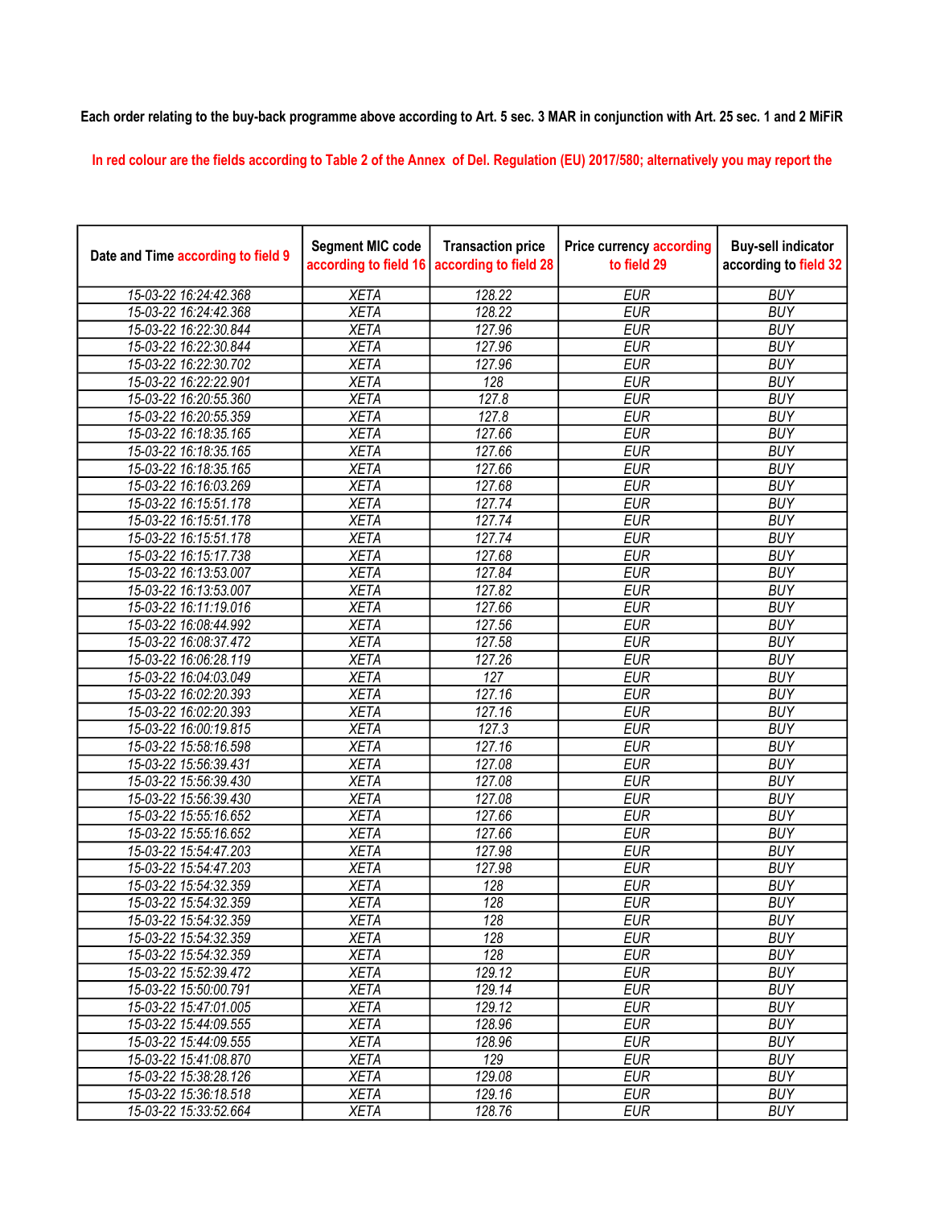## Each order relating to the buy-back programme above according to Art. 5 sec. 3 MAR in conjunction with Art. 25 sec. 1 and 2 MiFiR

In red colour are the fields according to Table 2 of the Annex of Del. Regulation (EU) 2017/580; alternatively you may report the

| Date and Time according to field 9 | <b>Segment MIC code</b><br>according to field 16 | <b>Transaction price</b><br>according to field 28 | <b>Price currency according</b><br>to field 29 | <b>Buy-sell indicator</b><br>according to field 32 |
|------------------------------------|--------------------------------------------------|---------------------------------------------------|------------------------------------------------|----------------------------------------------------|
| 15-03-22 16:24:42.368              | <b>XETA</b>                                      | 128.22                                            | <b>EUR</b>                                     | <b>BUY</b>                                         |
| 15-03-22 16:24:42.368              | <b>XETA</b>                                      | 128.22                                            | <b>EUR</b>                                     | <b>BUY</b>                                         |
| 15-03-22 16:22:30.844              | <b>XETA</b>                                      | 127.96                                            | <b>EUR</b>                                     | <b>BUY</b>                                         |
| 15-03-22 16:22:30.844              | <b>XETA</b>                                      | 127.96                                            | <b>EUR</b>                                     | <b>BUY</b>                                         |
| 15-03-22 16:22:30.702              | <b>XETA</b>                                      | 127.96                                            | <b>EUR</b>                                     | <b>BUY</b>                                         |
| 15-03-22 16:22:22.901              | <b>XETA</b>                                      | 128                                               | <b>EUR</b>                                     | <b>BUY</b>                                         |
| 15-03-22 16:20:55.360              | <b>XETA</b>                                      | 127.8                                             | <b>EUR</b>                                     | <b>BUY</b>                                         |
| 15-03-22 16:20:55.359              | <b>XETA</b>                                      | 127.8                                             | <b>EUR</b>                                     | <b>BUY</b>                                         |
| 15-03-22 16:18:35.165              | <b>XETA</b>                                      | 127.66                                            | <b>EUR</b>                                     | <b>BUY</b>                                         |
| 15-03-22 16:18:35.165              | <b>XETA</b>                                      | 127.66                                            | <b>EUR</b>                                     | <b>BUY</b>                                         |
| 15-03-22 16:18:35.165              | <b>XETA</b>                                      | 127.66                                            | <b>EUR</b>                                     | <b>BUY</b>                                         |
| 15-03-22 16:16:03.269              | <b>XETA</b>                                      | 127.68                                            | <b>EUR</b>                                     | <b>BUY</b>                                         |
| 15-03-22 16:15:51.178              | <b>XETA</b>                                      | 127.74                                            | <b>EUR</b>                                     | <b>BUY</b>                                         |
| 15-03-22 16:15:51.178              | <b>XETA</b>                                      | 127.74                                            | <b>EUR</b>                                     | <b>BUY</b>                                         |
| 15-03-22 16:15:51.178              | <b>XETA</b>                                      | 127.74                                            | <b>EUR</b>                                     | <b>BUY</b>                                         |
| 15-03-22 16:15:17.738              | <b>XETA</b>                                      | 127.68                                            | <b>EUR</b>                                     | <b>BUY</b>                                         |
| 15-03-22 16:13:53.007              | <b>XETA</b>                                      | 127.84                                            | <b>EUR</b>                                     | <b>BUY</b>                                         |
| 15-03-22 16:13:53.007              | <b>XETA</b>                                      | 127.82                                            | <b>EUR</b>                                     | <b>BUY</b>                                         |
| 15-03-22 16:11:19.016              | <b>XETA</b>                                      | 127.66                                            | <b>EUR</b>                                     | <b>BUY</b>                                         |
| 15-03-22 16:08:44.992              | <b>XETA</b>                                      | 127.56                                            | <b>EUR</b>                                     | <b>BUY</b>                                         |
| 15-03-22 16:08:37.472              | <b>XETA</b>                                      | 127.58                                            | <b>EUR</b>                                     | <b>BUY</b>                                         |
| 15-03-22 16:06:28.119              | <b>XETA</b>                                      | 127.26                                            | <b>EUR</b>                                     | <b>BUY</b>                                         |
| 15-03-22 16:04:03.049              | <b>XETA</b>                                      | $\overline{127}$                                  | <b>EUR</b>                                     | <b>BUY</b>                                         |
| 15-03-22 16:02:20.393              | <b>XETA</b>                                      | 127.16                                            | <b>EUR</b>                                     | <b>BUY</b>                                         |
| 15-03-22 16:02:20.393              | <b>XETA</b>                                      | 127.16                                            | <b>EUR</b>                                     | <b>BUY</b>                                         |
| 15-03-22 16:00:19.815              | <b>XETA</b>                                      | 127.3                                             | <b>EUR</b>                                     | <b>BUY</b>                                         |
| 15-03-22 15:58:16.598              | <b>XETA</b>                                      | 127.16                                            | <b>EUR</b>                                     | <b>BUY</b>                                         |
| 15-03-22 15:56:39.431              | <b>XETA</b>                                      | 127.08                                            | <b>EUR</b>                                     | <b>BUY</b>                                         |
| 15-03-22 15:56:39.430              | <b>XETA</b>                                      | 127.08                                            | <b>EUR</b>                                     | <b>BUY</b>                                         |
| 15-03-22 15:56:39.430              | <b>XETA</b>                                      | 127.08                                            | <b>EUR</b>                                     | <b>BUY</b>                                         |
| 15-03-22 15:55:16.652              | <b>XETA</b>                                      | 127.66                                            | <b>EUR</b>                                     | <b>BUY</b>                                         |
| 15-03-22 15:55:16.652              | <b>XETA</b>                                      | 127.66                                            | <b>EUR</b>                                     | <b>BUY</b>                                         |
| 15-03-22 15:54:47.203              | <b>XETA</b>                                      | 127.98                                            | <b>EUR</b>                                     | <b>BUY</b>                                         |
| 15-03-22 15:54:47.203              | <b>XETA</b>                                      | 127.98                                            | <b>EUR</b>                                     | <b>BUY</b>                                         |
| 15-03-22 15:54:32.359              | <b>XETA</b>                                      | 128                                               | <b>EUR</b>                                     | <b>BUY</b>                                         |
| 15-03-22 15:54:32.359              | <b>XETA</b>                                      | 128                                               | <b>EUR</b>                                     | <b>BUY</b>                                         |
| 15-03-22 15:54:32.359              | <b>XETA</b>                                      | 128                                               | <b>EUR</b>                                     | <b>BUY</b>                                         |
| 15-03-22 15:54:32.359              | <b>XETA</b>                                      | $\overline{128}$                                  | <b>EUR</b>                                     | <b>BUY</b>                                         |
| 15-03-22 15:54:32.359              | <b>XETA</b>                                      | 128                                               | <b>EUR</b>                                     | <b>BUY</b>                                         |
| 15-03-22 15:52:39.472              | <b>XETA</b>                                      | 129.12                                            | <b>EUR</b>                                     | <b>BUY</b>                                         |
| 15-03-22 15:50:00.791              | <b>XETA</b>                                      | 129.14                                            | <b>EUR</b>                                     | <b>BUY</b>                                         |
| 15-03-22 15:47:01.005              | <b>XETA</b>                                      | 129.12                                            | <b>EUR</b>                                     | <b>BUY</b>                                         |
| 15-03-22 15:44:09.555              | <b>XETA</b>                                      | 128.96                                            | <b>EUR</b>                                     | <b>BUY</b>                                         |
| 15-03-22 15:44:09.555              | <b>XETA</b>                                      | 128.96                                            | <b>EUR</b>                                     | <b>BUY</b>                                         |
| 15-03-22 15:41:08.870              | <b>XETA</b>                                      | 129                                               | <b>EUR</b>                                     | <b>BUY</b>                                         |
| 15-03-22 15:38:28.126              | <b>XETA</b>                                      | 129.08                                            | <b>EUR</b>                                     | <b>BUY</b>                                         |
| 15-03-22 15:36:18.518              | <b>XETA</b>                                      | 129.16                                            | <b>EUR</b>                                     | <b>BUY</b>                                         |
| 15-03-22 15:33:52.664              | <b>XETA</b>                                      | 128.76                                            | <b>EUR</b>                                     | <b>BUY</b>                                         |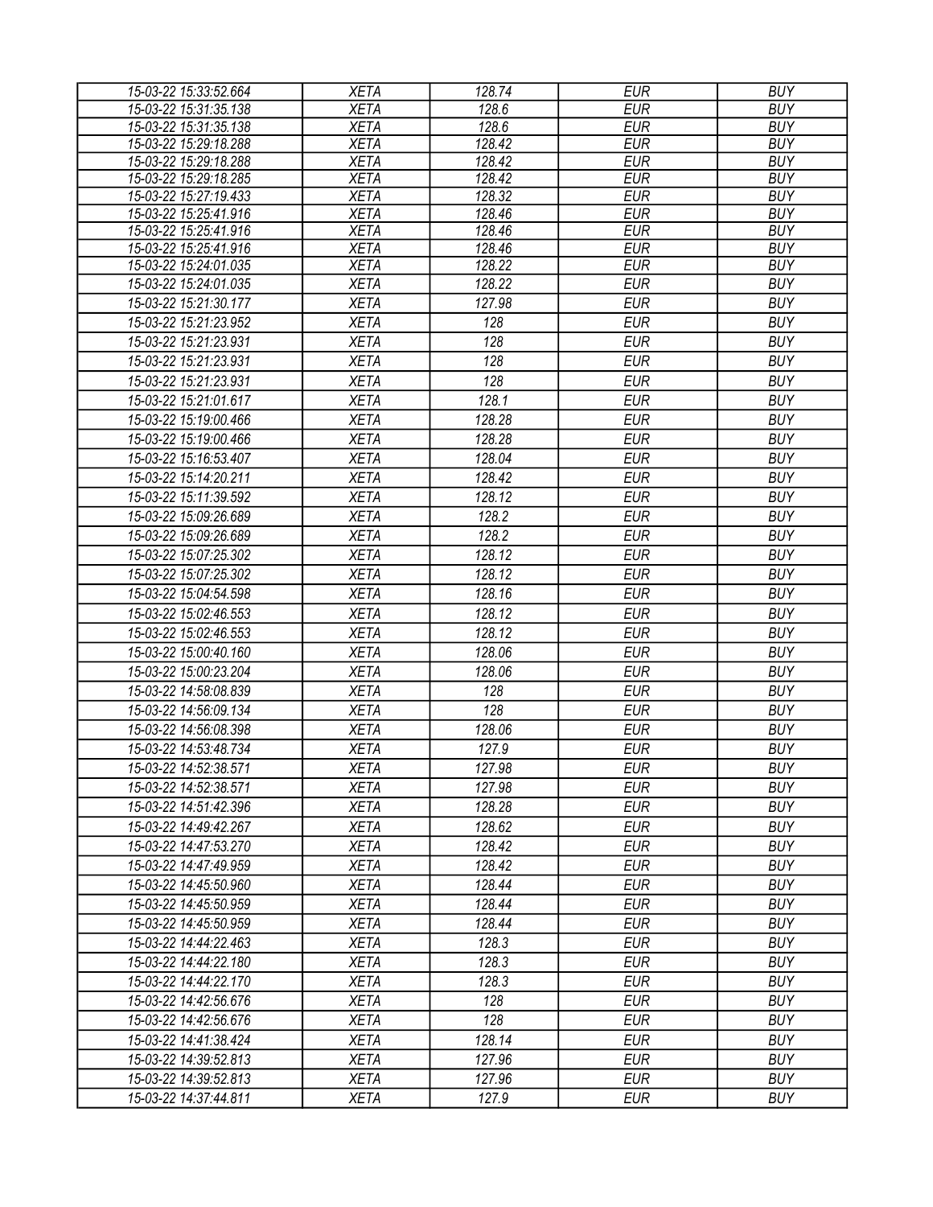| 15-03-22 15:33:52.664 | <b>XETA</b> | 128.74 | <b>EUR</b> | <b>BUY</b> |
|-----------------------|-------------|--------|------------|------------|
| 15-03-22 15:31:35.138 | <b>XETA</b> | 128.6  | <b>EUR</b> | <b>BUY</b> |
| 15-03-22 15:31:35.138 | <b>XETA</b> | 128.6  | <b>EUR</b> | <b>BUY</b> |
| 15-03-22 15:29:18.288 | <b>XETA</b> | 128.42 | <b>EUR</b> | <b>BUY</b> |
| 15-03-22 15:29:18.288 | <b>XETA</b> | 128.42 | <b>EUR</b> | <b>BUY</b> |
| 15-03-22 15:29:18.285 | <b>XETA</b> | 128.42 | <b>EUR</b> | <b>BUY</b> |
| 15-03-22 15:27:19.433 | <b>XETA</b> | 128.32 | <b>EUR</b> | <b>BUY</b> |
| 15-03-22 15:25:41.916 | <b>XETA</b> | 128.46 | <b>EUR</b> | <b>BUY</b> |
| 15-03-22 15:25:41.916 | <b>XETA</b> | 128.46 | <b>EUR</b> | <b>BUY</b> |
| 15-03-22 15:25:41.916 | <b>XETA</b> | 128.46 | <b>EUR</b> | <b>BUY</b> |
| 15-03-22 15:24:01.035 | <b>XETA</b> | 128.22 | <b>EUR</b> | <b>BUY</b> |
| 15-03-22 15:24:01.035 | <b>XETA</b> | 128.22 | <b>EUR</b> | <b>BUY</b> |
| 15-03-22 15:21:30.177 | <b>XETA</b> | 127.98 | <b>EUR</b> | <b>BUY</b> |
| 15-03-22 15:21:23.952 | <b>XETA</b> | 128    | <b>EUR</b> | <b>BUY</b> |
| 15-03-22 15:21:23.931 | <b>XETA</b> | 128    | <b>EUR</b> | <b>BUY</b> |
| 15-03-22 15:21:23.931 | <b>XETA</b> | 128    | <b>EUR</b> | <b>BUY</b> |
| 15-03-22 15:21:23.931 | <b>XETA</b> | 128    | <b>EUR</b> | <b>BUY</b> |
| 15-03-22 15:21:01.617 | <b>XETA</b> | 128.1  | <b>EUR</b> | <b>BUY</b> |
| 15-03-22 15:19:00.466 | <b>XETA</b> | 128.28 | <b>EUR</b> | <b>BUY</b> |
| 15-03-22 15:19:00.466 | <b>XETA</b> | 128.28 | <b>EUR</b> | <b>BUY</b> |
| 15-03-22 15:16:53.407 | <b>XETA</b> | 128.04 | <b>EUR</b> | <b>BUY</b> |
| 15-03-22 15:14:20.211 | <b>XETA</b> | 128.42 | <b>EUR</b> | <b>BUY</b> |
| 15-03-22 15:11:39.592 | <b>XETA</b> | 128.12 | <b>EUR</b> | <b>BUY</b> |
| 15-03-22 15:09:26.689 | <b>XETA</b> | 128.2  | <b>EUR</b> | <b>BUY</b> |
| 15-03-22 15:09:26.689 | <b>XETA</b> | 128.2  | <b>EUR</b> | <b>BUY</b> |
| 15-03-22 15:07:25.302 | <b>XETA</b> | 128.12 | <b>EUR</b> | <b>BUY</b> |
| 15-03-22 15:07:25.302 | <b>XETA</b> | 128.12 | <b>EUR</b> | <b>BUY</b> |
| 15-03-22 15:04:54.598 | <b>XETA</b> | 128.16 | <b>EUR</b> | <b>BUY</b> |
|                       |             | 128.12 | <b>EUR</b> | <b>BUY</b> |
| 15-03-22 15:02:46.553 | <b>XETA</b> |        |            |            |
| 15-03-22 15:02:46.553 | <b>XETA</b> | 128.12 | <b>EUR</b> | <b>BUY</b> |
| 15-03-22 15:00:40.160 | <b>XETA</b> | 128.06 | <b>EUR</b> | <b>BUY</b> |
| 15-03-22 15:00:23.204 | <b>XETA</b> | 128.06 | <b>EUR</b> | <b>BUY</b> |
| 15-03-22 14:58:08.839 | <b>XETA</b> | 128    | <b>EUR</b> | <b>BUY</b> |
| 15-03-22 14:56:09.134 | <b>XETA</b> | 128    | <b>EUR</b> | <b>BUY</b> |
| 15-03-22 14:56:08.398 | <b>XETA</b> | 128.06 | <b>EUR</b> | <b>BUY</b> |
| 15-03-22 14:53:48.734 | <b>XETA</b> | 127.9  | <b>EUR</b> | <b>BUY</b> |
| 15-03-22 14:52:38.571 | <b>XETA</b> | 127.98 | <b>EUR</b> | <b>BUY</b> |
| 15-03-22 14:52:38.571 | <b>XETA</b> | 127.98 | EUR        | <b>BUY</b> |
| 15-03-22 14:51:42.396 | <b>XETA</b> | 128.28 | <b>EUR</b> | <b>BUY</b> |
| 15-03-22 14:49:42.267 | <b>XETA</b> | 128.62 | <b>EUR</b> | <b>BUY</b> |
| 15-03-22 14:47:53.270 | <b>XETA</b> | 128.42 | <b>EUR</b> | <b>BUY</b> |
| 15-03-22 14:47:49.959 | <b>XETA</b> | 128.42 | <b>EUR</b> | <b>BUY</b> |
| 15-03-22 14:45:50.960 | <b>XETA</b> | 128.44 | <b>EUR</b> | <b>BUY</b> |
| 15-03-22 14:45:50.959 | <b>XETA</b> | 128.44 | <b>EUR</b> | <b>BUY</b> |
| 15-03-22 14:45:50.959 | <b>XETA</b> | 128.44 | <b>EUR</b> | <b>BUY</b> |
| 15-03-22 14:44:22.463 | <b>XETA</b> | 128.3  | <b>EUR</b> | <b>BUY</b> |
| 15-03-22 14:44:22.180 | <b>XETA</b> | 128.3  | <b>EUR</b> | <b>BUY</b> |
| 15-03-22 14:44:22.170 | <b>XETA</b> | 128.3  | <b>EUR</b> | <b>BUY</b> |
| 15-03-22 14:42:56.676 | <b>XETA</b> | 128    | <b>EUR</b> | <b>BUY</b> |
| 15-03-22 14:42:56.676 | <b>XETA</b> | 128    | <b>EUR</b> | <b>BUY</b> |
|                       |             |        |            |            |
| 15-03-22 14:41:38.424 | <b>XETA</b> | 128.14 | <b>EUR</b> | <b>BUY</b> |
| 15-03-22 14:39:52.813 | <b>XETA</b> | 127.96 | <b>EUR</b> | <b>BUY</b> |
| 15-03-22 14:39:52.813 | XETA        | 127.96 | <b>EUR</b> | <b>BUY</b> |
| 15-03-22 14:37:44.811 | <b>XETA</b> | 127.9  | <b>EUR</b> | <b>BUY</b> |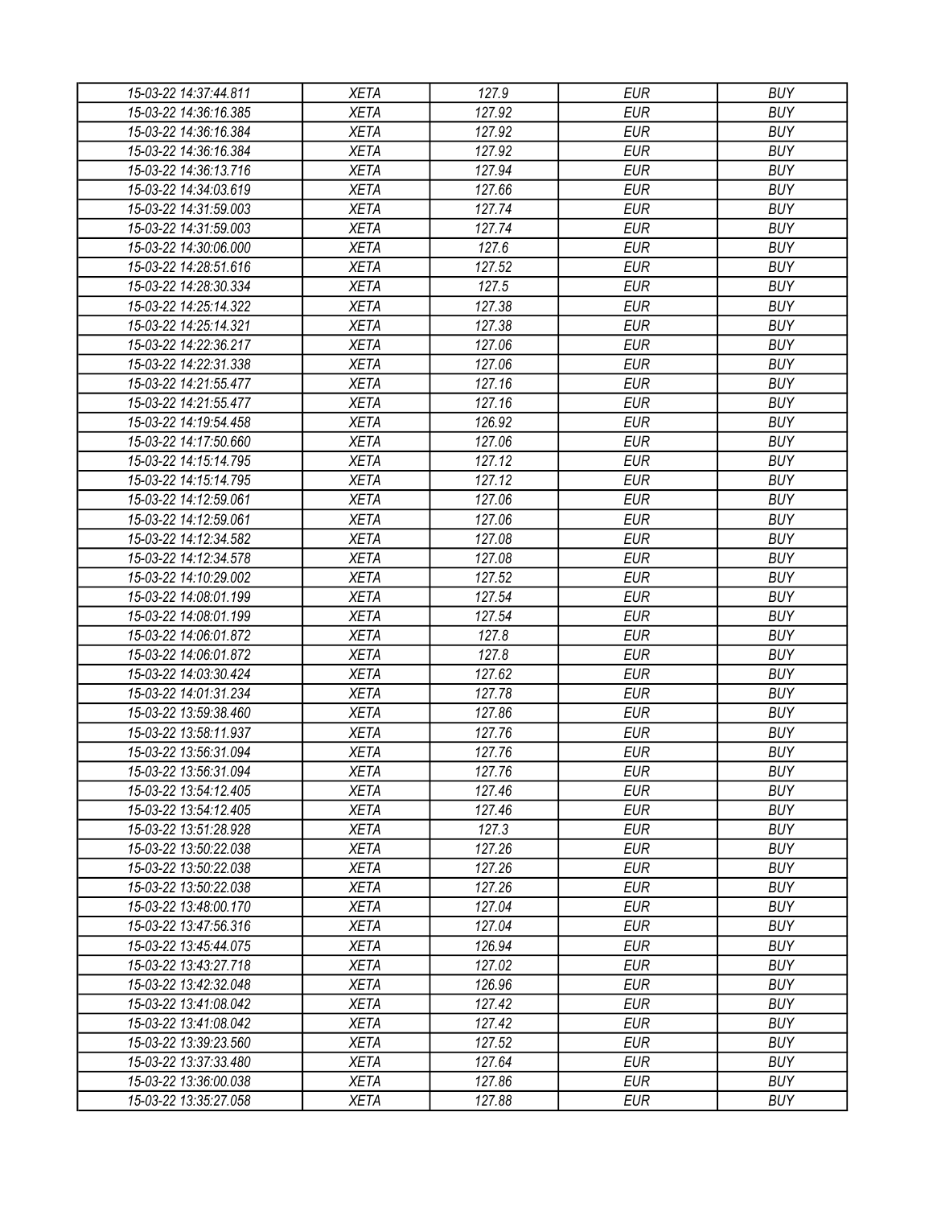| 15-03-22 14:37:44.811 | <b>XETA</b> | 127.9  | <b>EUR</b> | <b>BUY</b> |
|-----------------------|-------------|--------|------------|------------|
| 15-03-22 14:36:16.385 | <b>XETA</b> | 127.92 | <b>EUR</b> | <b>BUY</b> |
| 15-03-22 14:36:16.384 | <b>XETA</b> | 127.92 | <b>EUR</b> | <b>BUY</b> |
| 15-03-22 14:36:16.384 | <b>XETA</b> | 127.92 | <b>EUR</b> | <b>BUY</b> |
| 15-03-22 14:36:13.716 | <b>XETA</b> | 127.94 | <b>EUR</b> | <b>BUY</b> |
| 15-03-22 14:34:03.619 | <b>XETA</b> | 127.66 | <b>EUR</b> | <b>BUY</b> |
| 15-03-22 14:31:59.003 | <b>XETA</b> | 127.74 | <b>EUR</b> | <b>BUY</b> |
| 15-03-22 14:31:59.003 | <b>XETA</b> | 127.74 | <b>EUR</b> | <b>BUY</b> |
| 15-03-22 14:30:06.000 | <b>XETA</b> | 127.6  | <b>EUR</b> | <b>BUY</b> |
| 15-03-22 14:28:51.616 | <b>XETA</b> | 127.52 | <b>EUR</b> | <b>BUY</b> |
| 15-03-22 14:28:30.334 | <b>XETA</b> | 127.5  | <b>EUR</b> | <b>BUY</b> |
| 15-03-22 14:25:14.322 | <b>XETA</b> | 127.38 | <b>EUR</b> | <b>BUY</b> |
| 15-03-22 14:25:14.321 | <b>XETA</b> | 127.38 | <b>EUR</b> | <b>BUY</b> |
| 15-03-22 14:22:36.217 | <b>XETA</b> | 127.06 | <b>EUR</b> | <b>BUY</b> |
| 15-03-22 14:22:31.338 | <b>XETA</b> | 127.06 | <b>EUR</b> | <b>BUY</b> |
| 15-03-22 14:21:55.477 | <b>XETA</b> | 127.16 | <b>EUR</b> | <b>BUY</b> |
| 15-03-22 14:21:55.477 | <b>XETA</b> | 127.16 | <b>EUR</b> | <b>BUY</b> |
| 15-03-22 14:19:54.458 | <b>XETA</b> | 126.92 | <b>EUR</b> | <b>BUY</b> |
| 15-03-22 14:17:50.660 | <b>XETA</b> | 127.06 | <b>EUR</b> | <b>BUY</b> |
| 15-03-22 14:15:14.795 | <b>XETA</b> | 127.12 | <b>EUR</b> | <b>BUY</b> |
| 15-03-22 14:15:14.795 | <b>XETA</b> | 127.12 | <b>EUR</b> | <b>BUY</b> |
| 15-03-22 14:12:59.061 | <b>XETA</b> | 127.06 | <b>EUR</b> | <b>BUY</b> |
| 15-03-22 14:12:59.061 | <b>XETA</b> | 127.06 | <b>EUR</b> | <b>BUY</b> |
| 15-03-22 14:12:34.582 | <b>XETA</b> | 127.08 | <b>EUR</b> | <b>BUY</b> |
| 15-03-22 14:12:34.578 | <b>XETA</b> | 127.08 | <b>EUR</b> | <b>BUY</b> |
| 15-03-22 14:10:29.002 | <b>XETA</b> | 127.52 | <b>EUR</b> | <b>BUY</b> |
| 15-03-22 14:08:01.199 | <b>XETA</b> | 127.54 | <b>EUR</b> | <b>BUY</b> |
| 15-03-22 14:08:01.199 | <b>XETA</b> | 127.54 | <b>EUR</b> | <b>BUY</b> |
| 15-03-22 14:06:01.872 | <b>XETA</b> | 127.8  | <b>EUR</b> | <b>BUY</b> |
| 15-03-22 14:06:01.872 | <b>XETA</b> | 127.8  | <b>EUR</b> | <b>BUY</b> |
| 15-03-22 14:03:30.424 | <b>XETA</b> | 127.62 | <b>EUR</b> | <b>BUY</b> |
| 15-03-22 14:01:31.234 | <b>XETA</b> | 127.78 | <b>EUR</b> | <b>BUY</b> |
| 15-03-22 13:59:38.460 | <b>XETA</b> | 127.86 | <b>EUR</b> | <b>BUY</b> |
| 15-03-22 13:58:11.937 | <b>XETA</b> | 127.76 | <b>EUR</b> | <b>BUY</b> |
| 15-03-22 13:56:31.094 | <b>XETA</b> | 127.76 | <b>EUR</b> | <b>BUY</b> |
| 15-03-22 13:56:31.094 | <b>XETA</b> | 127.76 | <b>EUR</b> | <b>BUY</b> |
| 15-03-22 13:54:12.405 | <b>XETA</b> | 127.46 | <b>EUR</b> | <b>BUY</b> |
| 15-03-22 13:54:12.405 | <b>XETA</b> | 127.46 | <b>EUR</b> | <b>BUY</b> |
| 15-03-22 13:51:28.928 | <b>XETA</b> | 127.3  | <b>EUR</b> | <b>BUY</b> |
| 15-03-22 13:50:22.038 | <b>XETA</b> | 127.26 | <b>EUR</b> | <b>BUY</b> |
| 15-03-22 13:50:22.038 | <b>XETA</b> | 127.26 | <b>EUR</b> | <b>BUY</b> |
| 15-03-22 13:50:22.038 | <b>XETA</b> | 127.26 | <b>EUR</b> | <b>BUY</b> |
| 15-03-22 13:48:00.170 | <b>XETA</b> | 127.04 | <b>EUR</b> | <b>BUY</b> |
| 15-03-22 13:47:56.316 | <b>XETA</b> | 127.04 | <b>EUR</b> | <b>BUY</b> |
| 15-03-22 13:45:44.075 | <b>XETA</b> | 126.94 | <b>EUR</b> | <b>BUY</b> |
| 15-03-22 13:43:27.718 | <b>XETA</b> | 127.02 | <b>EUR</b> | <b>BUY</b> |
| 15-03-22 13:42:32.048 | <b>XETA</b> | 126.96 | <b>EUR</b> | <b>BUY</b> |
| 15-03-22 13:41:08.042 | <b>XETA</b> | 127.42 | <b>EUR</b> | <b>BUY</b> |
| 15-03-22 13:41:08.042 | <b>XETA</b> | 127.42 | <b>EUR</b> | <b>BUY</b> |
| 15-03-22 13:39:23.560 | <b>XETA</b> | 127.52 | <b>EUR</b> | <b>BUY</b> |
| 15-03-22 13:37:33.480 | <b>XETA</b> | 127.64 | <b>EUR</b> | <b>BUY</b> |
| 15-03-22 13:36:00.038 | <b>XETA</b> | 127.86 | <b>EUR</b> | <b>BUY</b> |
| 15-03-22 13:35:27.058 | <b>XETA</b> | 127.88 | <b>EUR</b> | <b>BUY</b> |
|                       |             |        |            |            |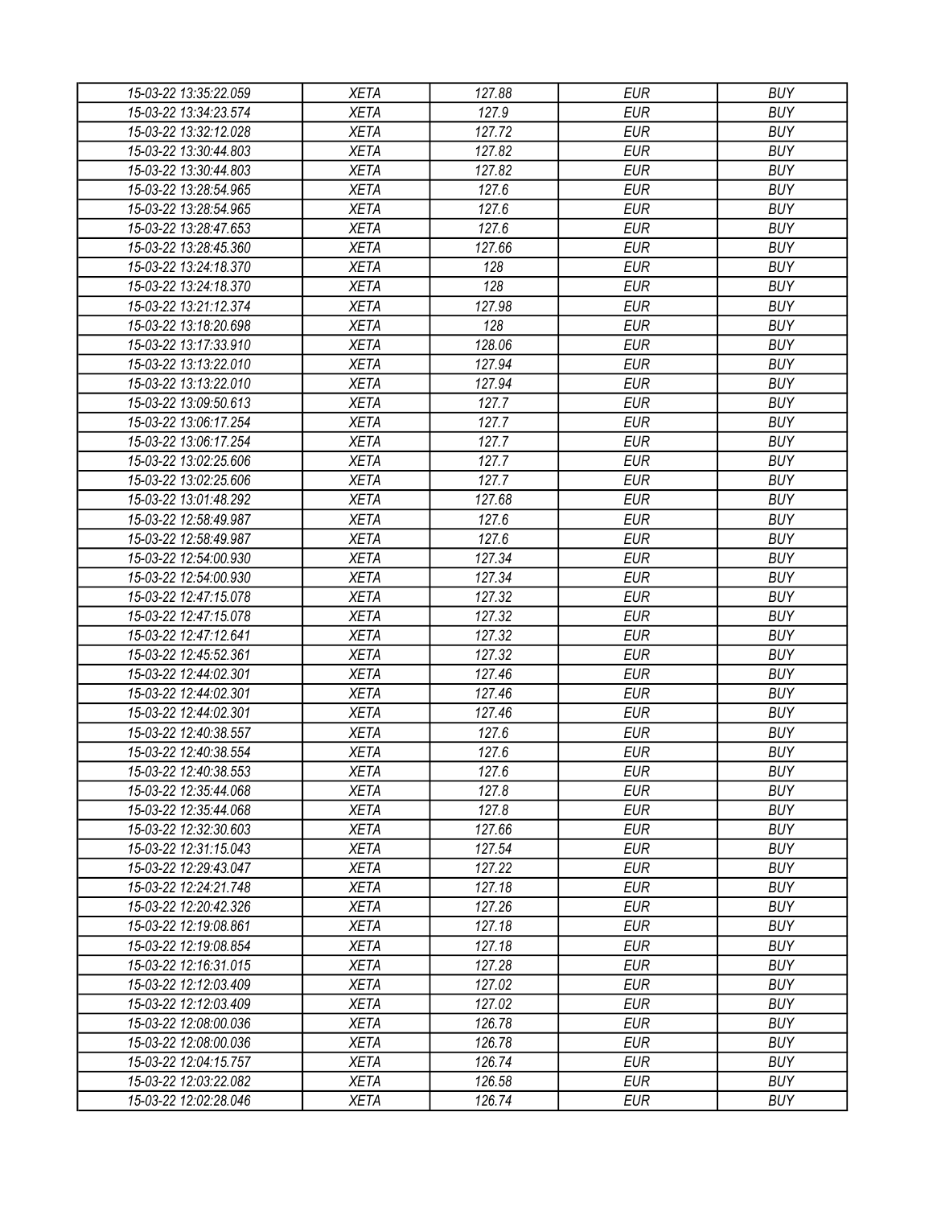| 15-03-22 13:35:22.059 | <b>XETA</b> | 127.88 | <b>EUR</b> | <b>BUY</b> |
|-----------------------|-------------|--------|------------|------------|
| 15-03-22 13:34:23.574 | <b>XETA</b> | 127.9  | <b>EUR</b> | <b>BUY</b> |
| 15-03-22 13:32:12.028 | <b>XETA</b> | 127.72 | <b>EUR</b> | <b>BUY</b> |
| 15-03-22 13:30:44.803 | <b>XETA</b> | 127.82 | <b>EUR</b> | <b>BUY</b> |
| 15-03-22 13:30:44.803 | <b>XETA</b> | 127.82 | <b>EUR</b> | <b>BUY</b> |
| 15-03-22 13:28:54.965 | <b>XETA</b> | 127.6  | <b>EUR</b> | <b>BUY</b> |
| 15-03-22 13:28:54.965 | <b>XETA</b> | 127.6  | <b>EUR</b> | <b>BUY</b> |
| 15-03-22 13:28:47.653 | <b>XETA</b> | 127.6  | <b>EUR</b> | <b>BUY</b> |
| 15-03-22 13:28:45.360 | <b>XETA</b> | 127.66 | <b>EUR</b> | <b>BUY</b> |
| 15-03-22 13:24:18.370 | <b>XETA</b> | 128    | <b>EUR</b> | <b>BUY</b> |
| 15-03-22 13:24:18.370 | <b>XETA</b> | 128    | <b>EUR</b> | <b>BUY</b> |
| 15-03-22 13:21:12.374 | <b>XETA</b> | 127.98 | <b>EUR</b> | <b>BUY</b> |
| 15-03-22 13:18:20.698 | <b>XETA</b> | 128    | <b>EUR</b> | <b>BUY</b> |
| 15-03-22 13:17:33.910 | <b>XETA</b> | 128.06 | <b>EUR</b> | <b>BUY</b> |
| 15-03-22 13:13:22.010 | <b>XETA</b> | 127.94 | <b>EUR</b> | <b>BUY</b> |
| 15-03-22 13:13:22.010 | <b>XETA</b> | 127.94 | <b>EUR</b> | <b>BUY</b> |
| 15-03-22 13:09:50.613 | <b>XETA</b> | 127.7  | <b>EUR</b> | <b>BUY</b> |
| 15-03-22 13:06:17.254 | <b>XETA</b> | 127.7  | <b>EUR</b> | <b>BUY</b> |
| 15-03-22 13:06:17.254 | <b>XETA</b> | 127.7  | <b>EUR</b> | <b>BUY</b> |
| 15-03-22 13:02:25.606 | <b>XETA</b> | 127.7  | <b>EUR</b> | <b>BUY</b> |
| 15-03-22 13:02:25.606 | <b>XETA</b> | 127.7  | <b>EUR</b> | <b>BUY</b> |
| 15-03-22 13:01:48.292 | <b>XETA</b> | 127.68 | <b>EUR</b> | <b>BUY</b> |
| 15-03-22 12:58:49.987 | <b>XETA</b> | 127.6  | <b>EUR</b> | <b>BUY</b> |
| 15-03-22 12:58:49.987 | <b>XETA</b> | 127.6  | <b>EUR</b> | <b>BUY</b> |
| 15-03-22 12:54:00.930 | <b>XETA</b> | 127.34 | <b>EUR</b> | <b>BUY</b> |
| 15-03-22 12:54:00.930 | <b>XETA</b> | 127.34 | <b>EUR</b> | <b>BUY</b> |
| 15-03-22 12:47:15.078 | <b>XETA</b> | 127.32 | <b>EUR</b> | <b>BUY</b> |
| 15-03-22 12:47:15.078 | <b>XETA</b> | 127.32 | <b>EUR</b> | <b>BUY</b> |
| 15-03-22 12:47:12.641 | <b>XETA</b> | 127.32 | <b>EUR</b> | <b>BUY</b> |
| 15-03-22 12:45:52.361 | <b>XETA</b> | 127.32 | <b>EUR</b> | <b>BUY</b> |
| 15-03-22 12:44:02.301 | <b>XETA</b> | 127.46 | <b>EUR</b> | <b>BUY</b> |
| 15-03-22 12:44:02.301 | <b>XETA</b> | 127.46 | <b>EUR</b> | <b>BUY</b> |
| 15-03-22 12:44:02.301 | <b>XETA</b> | 127.46 | <b>EUR</b> | <b>BUY</b> |
| 15-03-22 12:40:38.557 | <b>XETA</b> | 127.6  | <b>EUR</b> | <b>BUY</b> |
| 15-03-22 12:40:38.554 | <b>XETA</b> | 127.6  | <b>EUR</b> | <b>BUY</b> |
| 15-03-22 12:40:38.553 | <b>XETA</b> | 127.6  | <b>EUR</b> | <b>BUY</b> |
| 15-03-22 12:35:44.068 | <b>XETA</b> | 127.8  | <b>EUR</b> | <b>BUY</b> |
| 15-03-22 12:35:44.068 | <b>XETA</b> | 127.8  | <b>EUR</b> | <b>BUY</b> |
| 15-03-22 12:32:30.603 | <b>XETA</b> | 127.66 | <b>EUR</b> | <b>BUY</b> |
|                       |             |        | <b>EUR</b> | <b>BUY</b> |
| 15-03-22 12:31:15.043 | <b>XETA</b> | 127.54 |            |            |
| 15-03-22 12:29:43.047 | <b>XETA</b> | 127.22 | <b>EUR</b> | <b>BUY</b> |
| 15-03-22 12:24:21.748 | <b>XETA</b> | 127.18 | <b>EUR</b> | <b>BUY</b> |
| 15-03-22 12:20:42.326 | <b>XETA</b> | 127.26 | <b>EUR</b> | <b>BUY</b> |
| 15-03-22 12:19:08.861 | <b>XETA</b> | 127.18 | <b>EUR</b> | <b>BUY</b> |
| 15-03-22 12:19:08.854 | <b>XETA</b> | 127.18 | <b>EUR</b> | <b>BUY</b> |
| 15-03-22 12:16:31.015 | <b>XETA</b> | 127.28 | <b>EUR</b> | <b>BUY</b> |
| 15-03-22 12:12:03.409 | <b>XETA</b> | 127.02 | <b>EUR</b> | <b>BUY</b> |
| 15-03-22 12:12:03.409 | <b>XETA</b> | 127.02 | <b>EUR</b> | <b>BUY</b> |
| 15-03-22 12:08:00.036 | <b>XETA</b> | 126.78 | <b>EUR</b> | <b>BUY</b> |
| 15-03-22 12:08:00.036 | <b>XETA</b> | 126.78 | <b>EUR</b> | <b>BUY</b> |
| 15-03-22 12:04:15.757 | <b>XETA</b> | 126.74 | EUR        | <b>BUY</b> |
| 15-03-22 12:03:22.082 | <b>XETA</b> | 126.58 | <b>EUR</b> | <b>BUY</b> |
| 15-03-22 12:02:28.046 | <b>XETA</b> | 126.74 | <b>EUR</b> | <b>BUY</b> |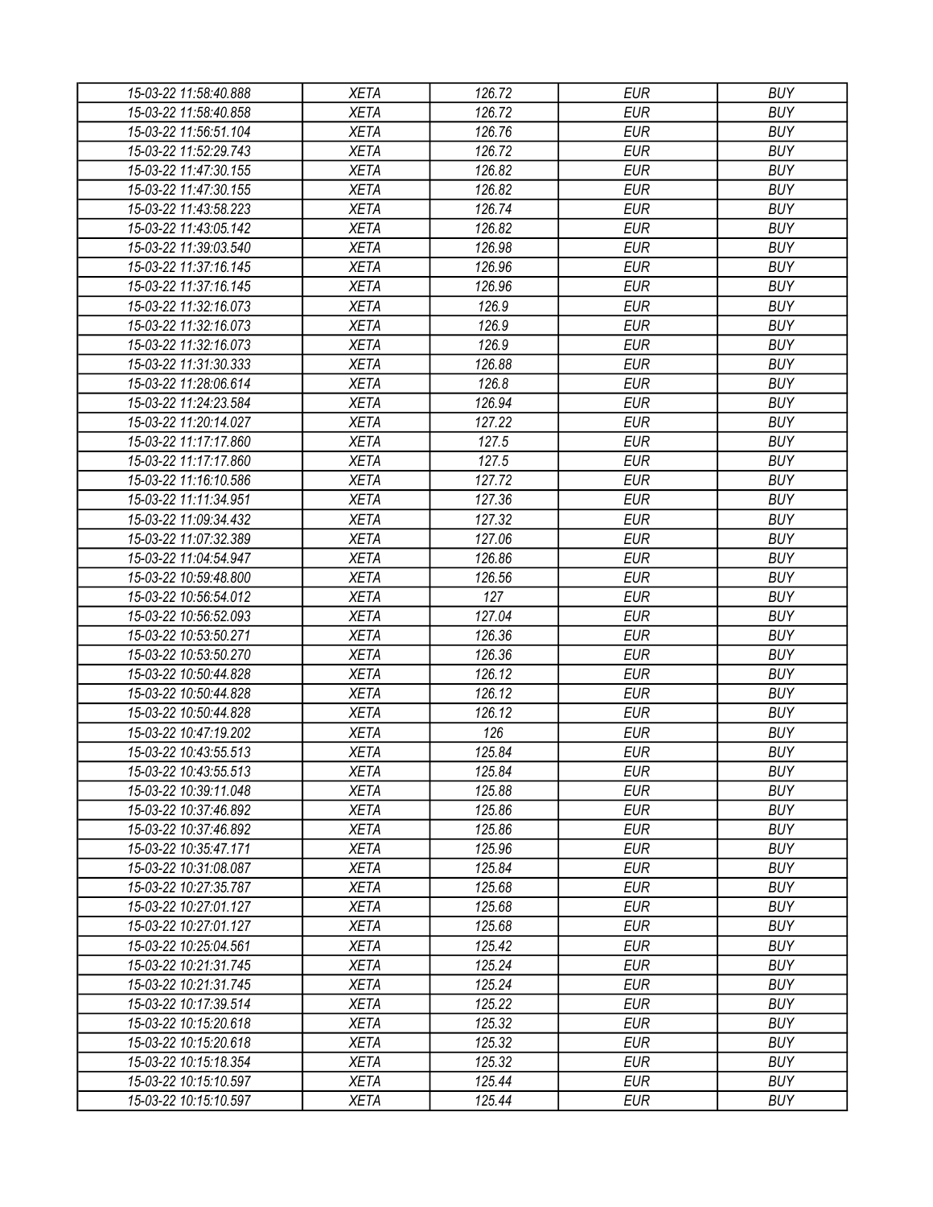| 15-03-22 11:58:40.888 | <b>XETA</b> | 126.72 | <b>EUR</b> | <b>BUY</b> |
|-----------------------|-------------|--------|------------|------------|
| 15-03-22 11:58:40.858 | <b>XETA</b> | 126.72 | <b>EUR</b> | <b>BUY</b> |
| 15-03-22 11:56:51.104 | <b>XETA</b> | 126.76 | <b>EUR</b> | <b>BUY</b> |
| 15-03-22 11:52:29.743 | <b>XETA</b> | 126.72 | <b>EUR</b> | <b>BUY</b> |
| 15-03-22 11:47:30.155 | <b>XETA</b> | 126.82 | <b>EUR</b> | <b>BUY</b> |
| 15-03-22 11:47:30.155 | <b>XETA</b> | 126.82 | <b>EUR</b> | <b>BUY</b> |
| 15-03-22 11:43:58.223 | <b>XETA</b> | 126.74 | <b>EUR</b> | <b>BUY</b> |
| 15-03-22 11:43:05.142 | <b>XETA</b> | 126.82 | <b>EUR</b> | <b>BUY</b> |
| 15-03-22 11:39:03.540 | <b>XETA</b> | 126.98 | <b>EUR</b> | <b>BUY</b> |
| 15-03-22 11:37:16.145 | <b>XETA</b> | 126.96 | <b>EUR</b> | <b>BUY</b> |
| 15-03-22 11:37:16.145 | <b>XETA</b> | 126.96 | <b>EUR</b> | <b>BUY</b> |
| 15-03-22 11:32:16.073 | <b>XETA</b> | 126.9  | <b>EUR</b> | <b>BUY</b> |
| 15-03-22 11:32:16.073 | <b>XETA</b> | 126.9  | <b>EUR</b> | <b>BUY</b> |
| 15-03-22 11:32:16.073 | <b>XETA</b> | 126.9  | <b>EUR</b> | <b>BUY</b> |
| 15-03-22 11:31:30.333 | <b>XETA</b> | 126.88 | <b>EUR</b> | <b>BUY</b> |
| 15-03-22 11:28:06.614 | <b>XETA</b> | 126.8  | <b>EUR</b> | <b>BUY</b> |
| 15-03-22 11:24:23.584 | <b>XETA</b> | 126.94 | <b>EUR</b> | <b>BUY</b> |
| 15-03-22 11:20:14.027 | <b>XETA</b> | 127.22 | <b>EUR</b> | <b>BUY</b> |
| 15-03-22 11:17:17.860 | <b>XETA</b> | 127.5  | <b>EUR</b> | <b>BUY</b> |
| 15-03-22 11:17:17.860 | <b>XETA</b> | 127.5  | <b>EUR</b> | <b>BUY</b> |
| 15-03-22 11:16:10.586 | <b>XETA</b> | 127.72 | <b>EUR</b> | <b>BUY</b> |
| 15-03-22 11:11:34.951 | <b>XETA</b> | 127.36 | <b>EUR</b> | <b>BUY</b> |
| 15-03-22 11:09:34.432 | <b>XETA</b> | 127.32 | <b>EUR</b> | <b>BUY</b> |
| 15-03-22 11:07:32.389 | <b>XETA</b> | 127.06 | <b>EUR</b> | <b>BUY</b> |
| 15-03-22 11:04:54.947 | <b>XETA</b> | 126.86 | <b>EUR</b> | <b>BUY</b> |
| 15-03-22 10:59:48.800 | <b>XETA</b> | 126.56 | <b>EUR</b> | <b>BUY</b> |
| 15-03-22 10:56:54.012 | <b>XETA</b> | 127    | <b>EUR</b> | <b>BUY</b> |
| 15-03-22 10:56:52.093 | <b>XETA</b> | 127.04 | <b>EUR</b> | <b>BUY</b> |
| 15-03-22 10:53:50.271 | <b>XETA</b> | 126.36 | <b>EUR</b> | <b>BUY</b> |
| 15-03-22 10:53:50.270 | <b>XETA</b> | 126.36 | <b>EUR</b> | <b>BUY</b> |
| 15-03-22 10:50:44.828 | <b>XETA</b> | 126.12 | <b>EUR</b> | <b>BUY</b> |
| 15-03-22 10:50:44.828 | <b>XETA</b> | 126.12 | <b>EUR</b> | <b>BUY</b> |
| 15-03-22 10:50:44.828 | <b>XETA</b> | 126.12 | <b>EUR</b> | <b>BUY</b> |
| 15-03-22 10:47:19.202 | <b>XETA</b> | 126    | <b>EUR</b> | <b>BUY</b> |
| 15-03-22 10:43:55.513 | <b>XETA</b> | 125.84 | <b>EUR</b> | <b>BUY</b> |
| 15-03-22 10:43:55.513 | <b>XETA</b> | 125.84 | <b>EUR</b> | <b>BUY</b> |
| 15-03-22 10:39:11.048 | <b>XETA</b> | 125.88 | <b>EUR</b> | <b>BUY</b> |
| 15-03-22 10:37:46.892 | <b>XETA</b> | 125.86 | <b>EUR</b> | <b>BUY</b> |
| 15-03-22 10:37:46.892 | <b>XETA</b> | 125.86 | <b>EUR</b> | <b>BUY</b> |
| 15-03-22 10:35:47.171 | <b>XETA</b> | 125.96 | <b>EUR</b> | <b>BUY</b> |
| 15-03-22 10:31:08.087 | <b>XETA</b> | 125.84 | <b>EUR</b> | <b>BUY</b> |
| 15-03-22 10:27:35.787 | <b>XETA</b> | 125.68 | <b>EUR</b> | <b>BUY</b> |
| 15-03-22 10:27:01.127 | <b>XETA</b> | 125.68 | <b>EUR</b> | <b>BUY</b> |
| 15-03-22 10:27:01.127 | <b>XETA</b> | 125.68 | <b>EUR</b> | <b>BUY</b> |
| 15-03-22 10:25:04.561 | <b>XETA</b> | 125.42 | <b>EUR</b> | <b>BUY</b> |
| 15-03-22 10:21:31.745 | <b>XETA</b> | 125.24 | <b>EUR</b> | <b>BUY</b> |
| 15-03-22 10:21:31.745 | <b>XETA</b> | 125.24 | <b>EUR</b> | <b>BUY</b> |
| 15-03-22 10:17:39.514 | <b>XETA</b> | 125.22 | <b>EUR</b> | <b>BUY</b> |
| 15-03-22 10:15:20.618 | <b>XETA</b> | 125.32 | <b>EUR</b> | <b>BUY</b> |
| 15-03-22 10:15:20.618 | <b>XETA</b> | 125.32 | <b>EUR</b> | <b>BUY</b> |
| 15-03-22 10:15:18.354 | <b>XETA</b> | 125.32 | <b>EUR</b> | <b>BUY</b> |
| 15-03-22 10:15:10.597 | <b>XETA</b> | 125.44 | <b>EUR</b> | <b>BUY</b> |
| 15-03-22 10:15:10.597 | <b>XETA</b> | 125.44 | <b>EUR</b> | <b>BUY</b> |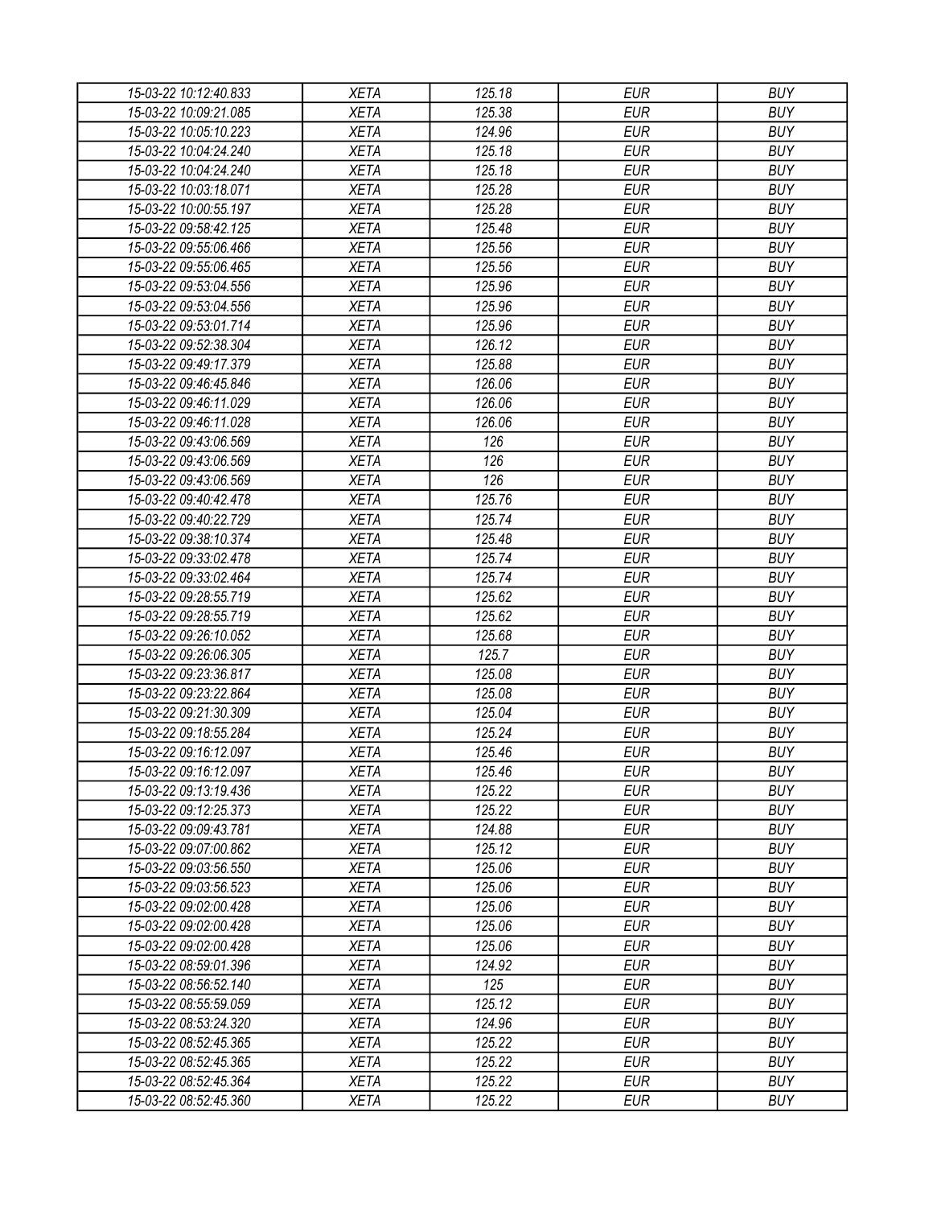| 15-03-22 10:12:40.833                          | <b>XETA</b> | 125.18           | EUR        | <b>BUY</b> |
|------------------------------------------------|-------------|------------------|------------|------------|
| 15-03-22 10:09:21.085                          | <b>XETA</b> | 125.38           | <b>EUR</b> | <b>BUY</b> |
| 15-03-22 10:05:10.223                          | <b>XETA</b> | 124.96           | <b>EUR</b> | <b>BUY</b> |
| 15-03-22 10:04:24.240                          | <b>XETA</b> | 125.18           | <b>EUR</b> | <b>BUY</b> |
| 15-03-22 10:04:24.240                          | <b>XETA</b> | 125.18           | <b>EUR</b> | <b>BUY</b> |
| 15-03-22 10:03:18.071                          | <b>XETA</b> | 125.28           | <b>EUR</b> | <b>BUY</b> |
| 15-03-22 10:00:55.197                          | <b>XETA</b> | 125.28           | <b>EUR</b> | <b>BUY</b> |
| 15-03-22 09:58:42.125                          | <b>XETA</b> | 125.48           | <b>EUR</b> | <b>BUY</b> |
| 15-03-22 09:55:06.466                          | <b>XETA</b> | 125.56           | <b>EUR</b> | <b>BUY</b> |
| 15-03-22 09:55:06.465                          | <b>XETA</b> | 125.56           | <b>EUR</b> | <b>BUY</b> |
| 15-03-22 09:53:04.556                          | <b>XETA</b> | 125.96           | <b>EUR</b> | <b>BUY</b> |
| 15-03-22 09:53:04.556                          | <b>XETA</b> | 125.96           | <b>EUR</b> | <b>BUY</b> |
| 15-03-22 09:53:01.714                          | <b>XETA</b> | 125.96           | <b>EUR</b> | <b>BUY</b> |
| 15-03-22 09:52:38.304                          | <b>XETA</b> | 126.12           | <b>EUR</b> | <b>BUY</b> |
| 15-03-22 09:49:17.379                          | <b>XETA</b> | 125.88           | <b>EUR</b> | <b>BUY</b> |
| 15-03-22 09:46:45.846                          | <b>XETA</b> | 126.06           | <b>EUR</b> | <b>BUY</b> |
| 15-03-22 09:46:11.029                          | <b>XETA</b> | 126.06           | <b>EUR</b> | <b>BUY</b> |
| 15-03-22 09:46:11.028                          | <b>XETA</b> | 126.06           | <b>EUR</b> | <b>BUY</b> |
| 15-03-22 09:43:06.569                          | <b>XETA</b> | 126              | <b>EUR</b> | <b>BUY</b> |
| 15-03-22 09:43:06.569                          | <b>XETA</b> | 126              | <b>EUR</b> | <b>BUY</b> |
| 15-03-22 09:43:06.569                          | <b>XETA</b> | 126              | <b>EUR</b> | <b>BUY</b> |
| 15-03-22 09:40:42.478                          | <b>XETA</b> | 125.76           | <b>EUR</b> | <b>BUY</b> |
| 15-03-22 09:40:22.729                          | <b>XETA</b> | 125.74           | <b>EUR</b> | <b>BUY</b> |
| 15-03-22 09:38:10.374                          | <b>XETA</b> | 125.48           | <b>EUR</b> | <b>BUY</b> |
| 15-03-22 09:33:02.478                          | <b>XETA</b> | 125.74           | <b>EUR</b> | <b>BUY</b> |
| 15-03-22 09:33:02.464                          | <b>XETA</b> | 125.74           | <b>EUR</b> | <b>BUY</b> |
| 15-03-22 09:28:55.719                          | <b>XETA</b> | 125.62           | <b>EUR</b> | <b>BUY</b> |
| 15-03-22 09:28:55.719                          | <b>XETA</b> | 125.62           | <b>EUR</b> | <b>BUY</b> |
| 15-03-22 09:26:10.052                          | <b>XETA</b> | 125.68           | <b>EUR</b> | <b>BUY</b> |
| 15-03-22 09:26:06.305                          | <b>XETA</b> | 125.7            | <b>EUR</b> | <b>BUY</b> |
| 15-03-22 09:23:36.817                          | <b>XETA</b> | 125.08           | <b>EUR</b> | <b>BUY</b> |
| 15-03-22 09:23:22.864                          | <b>XETA</b> | 125.08           | <b>EUR</b> | <b>BUY</b> |
| 15-03-22 09:21:30.309                          | <b>XETA</b> | 125.04           | <b>EUR</b> | <b>BUY</b> |
| 15-03-22 09:18:55.284                          | <b>XETA</b> | 125.24           | <b>EUR</b> | <b>BUY</b> |
|                                                |             |                  | <b>EUR</b> |            |
| 15-03-22 09:16:12.097                          | <b>XETA</b> | 125.46           |            | <b>BUY</b> |
| 15-03-22 09:16:12.097<br>15-03-22 09:13:19.436 | <b>XETA</b> | 125.46           | <b>EUR</b> | <b>BUY</b> |
|                                                | <b>XETA</b> | 125.22           | <b>EUR</b> | <b>BUY</b> |
| 15-03-22 09:12:25.373                          | <b>XETA</b> | 125.22<br>124.88 | <b>EUR</b> | <b>BUY</b> |
| 15-03-22 09:09:43.781                          | <b>XETA</b> |                  | <b>EUR</b> | <b>BUY</b> |
| 15-03-22 09:07:00.862                          | <b>XETA</b> | 125.12           | <b>EUR</b> | <b>BUY</b> |
| 15-03-22 09:03:56.550                          | <b>XETA</b> | 125.06           | <b>EUR</b> | <b>BUY</b> |
| 15-03-22 09:03:56.523                          | <b>XETA</b> | 125.06           | <b>EUR</b> | <b>BUY</b> |
| 15-03-22 09:02:00.428                          | <b>XETA</b> | 125.06           | <b>EUR</b> | <b>BUY</b> |
| 15-03-22 09:02:00.428                          | <b>XETA</b> | 125.06           | <b>EUR</b> | <b>BUY</b> |
| 15-03-22 09:02:00.428                          | <b>XETA</b> | 125.06           | <b>EUR</b> | <b>BUY</b> |
| 15-03-22 08:59:01.396                          | <b>XETA</b> | 124.92           | <b>EUR</b> | <b>BUY</b> |
| 15-03-22 08:56:52.140                          | <b>XETA</b> | 125              | <b>EUR</b> | <b>BUY</b> |
| 15-03-22 08:55:59.059                          | <b>XETA</b> | 125.12           | <b>EUR</b> | <b>BUY</b> |
| 15-03-22 08:53:24.320                          | <b>XETA</b> | 124.96           | <b>EUR</b> | <b>BUY</b> |
| 15-03-22 08:52:45.365                          | <b>XETA</b> | 125.22           | <b>EUR</b> | <b>BUY</b> |
| 15-03-22 08:52:45.365                          | <b>XETA</b> | 125.22           | EUR        | <b>BUY</b> |
| 15-03-22 08:52:45.364                          | <b>XETA</b> | 125.22           | <b>EUR</b> | <b>BUY</b> |
| 15-03-22 08:52:45.360                          | <b>XETA</b> | 125.22           | <b>EUR</b> | <b>BUY</b> |